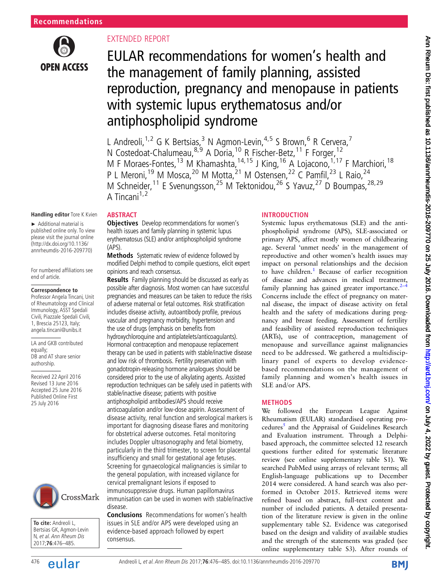

# EXTENDED REPORT

**ABSTRACT** 

(APS).

**Objectives** Develop recommendations for women's health issues and family planning in systemic lupus erythematosus (SLE) and/or antiphospholipid syndrome

Methods Systematic review of evidence followed by modified Delphi method to compile questions, elicit expert

Results Family planning should be discussed as early as possible after diagnosis. Most women can have successful pregnancies and measures can be taken to reduce the risks of adverse maternal or fetal outcomes. Risk stratification includes disease activity, autoantibody profile, previous vascular and pregnancy morbidity, hypertension and the use of drugs (emphasis on benefits from hydroxychloroquine and antiplatelets/anticoagulants). Hormonal contraception and menopause replacement therapy can be used in patients with stable/inactive disease and low risk of thrombosis. Fertility preservation with gonadotropin-releasing hormone analogues should be considered prior to the use of alkylating agents. Assisted reproduction techniques can be safely used in patients with

stable/inactive disease; patients with positive antiphospholipid antibodies/APS should receive anticoagulation and/or low-dose aspirin. Assessment of disease activity, renal function and serological markers is important for diagnosing disease flares and monitoring for obstetrical adverse outcomes. Fetal monitoring

Screening for gynaecological malignancies is similar to the general population, with increased vigilance for cervical premalignant lesions if exposed to immunosuppressive drugs. Human papillomavirus immunisation can be used in women with stable/inactive

Conclusions Recommendations for women's health issues in SLE and/or APS were developed using an evidence-based approach followed by expert

opinions and reach consensus.

# EULAR recommendations for women's health and the management of family planning, assisted reproduction, pregnancy and menopause in patients with systemic lupus erythematosus and/or antiphospholipid syndrome

L Andreoli,<sup>1,2</sup> G K Bertsias,<sup>3</sup> N Agmon-Levin,<sup>4,5</sup> S Brown,<sup>6</sup> R Cervera,<sup>7</sup> N Costedoat-Chalumeau, 8,9 A Doria, <sup>10</sup> R Fischer-Betz, <sup>11</sup> F Forger, <sup>12</sup> M F Moraes-Fontes,<sup>13</sup> M Khamashta,<sup>14,15</sup> J King,<sup>16</sup> A Lojacono,<sup>1,17</sup> F Marchiori,<sup>18</sup> P L Meroni,<sup>19</sup> M Mosca,<sup>20</sup> M Motta,<sup>21</sup> M Ostensen,<sup>22</sup> C Pamfil,<sup>23</sup> L Raio,<sup>24</sup> M Schneider,<sup>11</sup> E Svenungsson,<sup>25</sup> M Tektonidou,<sup>26</sup> S Yavuz,<sup>27</sup> D Boumpas,<sup>28,29</sup> A Tincani $1,2$ 

#### **Handling editor** Tore K Kvien

► Additional material is published online only. To view please visit the journal online [\(http://dx.doi.org/10.1136/](http://ard.bmj.com/content/early/2016/07/25/annrheumdis-2016-209770) annrheumdis-2016-209770)

For numbered affiliations see end of article.

#### **Correspondence to**

Professor Angela Tincani, Unit of Rheumatology and Clinical Immunology, ASST Spedali Civili, Piazzale Spedali Civili, 1, Brescia 25123, Italy; angela.tincani@unibs.it

LA and GKB contributed equally; DB and AT share senior authorship.

Received 22 April 2016 Revised 13 June 2016 Accepted 25 June 2016 Published Online First 25 July 2016



**To cite:** Andreoli L, Bertsias GK, Agmon-Levin N, et al. Ann Rheum Dis 2017;**76**:476–485.

#### includes Doppler ultrasonography and fetal biometry, particularly in the third trimester, to screen for placental insufficiency and small for gestational age fetuses.

disease.

consensus.

# 476 **Andreoli L, et al. Ann Rheum Dis 2017;76:**476–485. doi:10.1136/annrheumdis-2016-209770

# INTRODUCTION

Systemic lupus erythematosus (SLE) and the antiphospholipid syndrome (APS), SLE-associated or primary APS, affect mostly women of childbearing age. Several 'unmet needs' in the management of reproductive and other women's health issues may impact on personal relationships and the decision to have children.<sup>1</sup> Because of earlier recognition of disease and advances in medical treatment, family planning has gained greater importance. $2\overline{4}$  $2\overline{4}$ Concerns include the effect of pregnancy on maternal disease, the impact of disease activity on fetal health and the safety of medications during pregnancy and breast feeding. Assessment of fertility and feasibility of assisted reproduction techniques (ARTs), use of contraception, management of menopause and surveillance against malignancies need to be addressed. We gathered a multidisciplinary panel of experts to develop evidencebased recommendations on the management of family planning and women's health issues in SLE and/or APS.

#### METHODS

We followed the European League Against Rheumatism (EULAR) standardised operating pro-cedures<sup>[5](#page-6-0)</sup> and the Appraisal of Guidelines Research and Evaluation instrument. Through a Delphibased approach, the committee selected 12 research questions further edited for systematic literature review (see online supplementary table S1). We searched PubMed using arrays of relevant terms; all English-language publications up to December 2014 were considered. A hand search was also performed in October 2015. Retrieved items were refined based on abstract, full-text content and number of included patients. A detailed presentation of the literature review is given in the online supplementary table S2. Evidence was categorised based on the design and validity of available studies and the strength of the statements was graded (see online supplementary table S3). After rounds of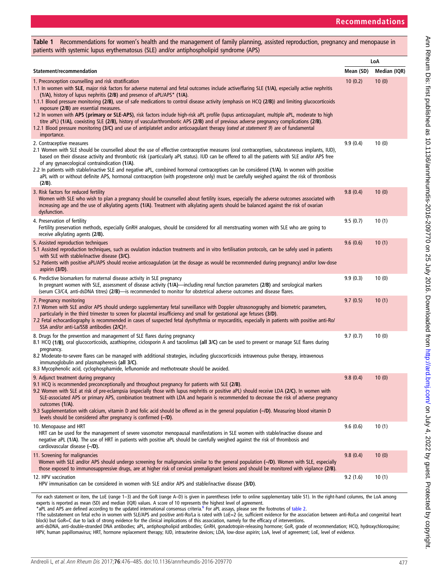<span id="page-1-0"></span>

| Table 1 Recommendations for women's health and the management of family planning, assisted reproduction, pregnancy and menopause in<br>patients with systemic lupus erythematosus (SLE) and/or antiphospholipid syndrome (APS)                                                                                                                                                                                                                                                                                                                                                                                                                                                                                                                                                                                                                                                                                                   |           |              |  |  |  |  |
|----------------------------------------------------------------------------------------------------------------------------------------------------------------------------------------------------------------------------------------------------------------------------------------------------------------------------------------------------------------------------------------------------------------------------------------------------------------------------------------------------------------------------------------------------------------------------------------------------------------------------------------------------------------------------------------------------------------------------------------------------------------------------------------------------------------------------------------------------------------------------------------------------------------------------------|-----------|--------------|--|--|--|--|
|                                                                                                                                                                                                                                                                                                                                                                                                                                                                                                                                                                                                                                                                                                                                                                                                                                                                                                                                  | LoA       |              |  |  |  |  |
| Statement/recommendation                                                                                                                                                                                                                                                                                                                                                                                                                                                                                                                                                                                                                                                                                                                                                                                                                                                                                                         | Mean (SD) | Median (IQR) |  |  |  |  |
| 1. Preconception counselling and risk stratification<br>1.1 In women with SLE, major risk factors for adverse maternal and fetal outcomes include active/flaring SLE (1/A), especially active nephritis<br>(1/A), history of lupus nephritis (2/B) and presence of aPL/APS* (1/A).<br>1.1.1 Blood pressure monitoring (2/B), use of safe medications to control disease activity (emphasis on HCQ (2/B)) and limiting glucocorticoids<br>exposure (2/B) are essential measures.<br>1.2 In women with APS (primary or SLE-APS), risk factors include high-risk aPL profile (lupus anticoagulant, multiple aPL, moderate to high<br>titre aPL) (1/A), coexisting SLE (2/B), history of vascular/thrombotic APS (2/B) and of previous adverse pregnancy complications (2/B).<br>1.2.1 Blood pressure monitoring (3/C) and use of antiplatelet and/or anticoagulant therapy (rated at statement 9) are of fundamental<br>importance. | 10(0.2)   | 10(0)        |  |  |  |  |
| 2. Contraceptive measures<br>2.1 Women with SLE should be counselled about the use of effective contraceptive measures (oral contraceptives, subcutaneous implants, IUD),<br>based on their disease activity and thrombotic risk (particularly aPL status). IUD can be offered to all the patients with SLE and/or APS free<br>of any gynaecological contraindication (1/A).<br>2.2 In patients with stable/inactive SLE and negative aPL, combined hormonal contraceptives can be considered (1/A). In women with positive<br>aPL with or without definite APS, hormonal contraception (with progesterone only) must be carefully weighed against the risk of thrombosis<br>(2/B).                                                                                                                                                                                                                                              | 9.9(0.4)  | 10(0)        |  |  |  |  |
| 3. Risk factors for reduced fertility<br>Women with SLE who wish to plan a pregnancy should be counselled about fertility issues, especially the adverse outcomes associated with<br>increasing age and the use of alkylating agents (1/A). Treatment with alkylating agents should be balanced against the risk of ovarian<br>dysfunction.                                                                                                                                                                                                                                                                                                                                                                                                                                                                                                                                                                                      | 9.8(0.4)  | 10(0)        |  |  |  |  |
| 4. Preservation of fertility<br>Fertility preservation methods, especially GnRH analogues, should be considered for all menstruating women with SLE who are going to<br>receive alkylating agents (2/B).                                                                                                                                                                                                                                                                                                                                                                                                                                                                                                                                                                                                                                                                                                                         | 9.5(0.7)  | 10(1)        |  |  |  |  |
| 5. Assisted reproduction techniques<br>5.1 Assisted reproduction techniques, such as ovulation induction treatments and in vitro fertilisation protocols, can be safely used in patients<br>with SLE with stable/inactive disease (3/C).<br>5.2 Patients with positive aPL/APS should receive anticoagulation (at the dosage as would be recommended during pregnancy) and/or low-dose<br>aspirin (3/D).                                                                                                                                                                                                                                                                                                                                                                                                                                                                                                                         | 9.6(0.6)  | 10(1)        |  |  |  |  |
| 6. Predictive biomarkers for maternal disease activity in SLE pregnancy<br>In pregnant women with SLE, assessment of disease activity (1/A)-including renal function parameters (2/B) and serological markers<br>(serum C3/C4, anti-dsDNA titres) (2/B)-is recommended to monitor for obstetrical adverse outcomes and disease flares.                                                                                                                                                                                                                                                                                                                                                                                                                                                                                                                                                                                           | 9.9(0.3)  | 10(0)        |  |  |  |  |
| 7. Pregnancy monitoring<br>7.1 Women with SLE and/or APS should undergo supplementary fetal surveillance with Doppler ultrasonography and biometric parameters,<br>particularly in the third trimester to screen for placental insufficiency and small for gestational age fetuses (3/D).<br>7.2 Fetal echocardiography is recommended in cases of suspected fetal dysrhythmia or myocarditis, especially in patients with positive anti-Ro/<br>SSA and/or anti-La/SSB antibodies (2/C)t.                                                                                                                                                                                                                                                                                                                                                                                                                                        | 9.7(0.5)  | 10(1)        |  |  |  |  |
| 8. Drugs for the prevention and management of SLE flares during pregnancy<br>8.1 HCQ (1/B), oral glucocorticoids, azathioprine, ciclosporin A and tacrolimus (all 3/C) can be used to prevent or manage SLE flares during<br>pregnancy.<br>8.2 Moderate-to-severe flares can be managed with additional strategies, including glucocorticoids intravenous pulse therapy, intravenous<br>immunoglobulin and plasmapheresis (all 3/C).<br>8.3 Mycophenolic acid, cyclophosphamide, leflunomide and methotrexate should be avoided.                                                                                                                                                                                                                                                                                                                                                                                                 | 9.7(0.7)  | 10(0)        |  |  |  |  |
| 9. Adjunct treatment during pregnancy<br>9.1 HCQ is recommended preconceptionally and throughout pregnancy for patients with SLE (2/B).<br>9.2 Women with SLE at risk of pre-eclampsia (especially those with lupus nephritis or positive aPL) should receive LDA (2/C). In women with<br>SLE-associated APS or primary APS, combination treatment with LDA and heparin is recommended to decrease the risk of adverse pregnancy<br>outcomes (1/A).<br>9.3 Supplementation with calcium, vitamin D and folic acid should be offered as in the general population (-/D). Measuring blood vitamin D<br>levels should be considered after pregnancy is confirmed (-/D).                                                                                                                                                                                                                                                             | 9.8(0.4)  | 10(0)        |  |  |  |  |
| 10. Menopause and HRT<br>HRT can be used for the management of severe vasomotor menopausal manifestations in SLE women with stable/inactive disease and<br>negative aPL (1/A). The use of HRT in patients with positive aPL should be carefully weighed against the risk of thrombosis and<br>cardiovascular disease (-/D).                                                                                                                                                                                                                                                                                                                                                                                                                                                                                                                                                                                                      | 9.6(0.6)  | 10(1)        |  |  |  |  |
| 11. Screening for malignancies<br>Women with SLE and/or APS should undergo screening for malignancies similar to the general population (-/D). Women with SLE, especially<br>those exposed to immunosuppressive drugs, are at higher risk of cervical premalignant lesions and should be monitored with vigilance (2/B).                                                                                                                                                                                                                                                                                                                                                                                                                                                                                                                                                                                                         | 9.8(0.4)  | 10(0)        |  |  |  |  |
| 12. HPV vaccination<br>HPV immunisation can be considered in women with SLE and/or APS and stable/inactive disease (3/D).                                                                                                                                                                                                                                                                                                                                                                                                                                                                                                                                                                                                                                                                                                                                                                                                        | 9.2(1.6)  | 10(1)        |  |  |  |  |

For each statement or item, the LoE (range 1-3) and the GoR (range A-D) is given in parentheses (refer to online supplementary table S1). In the right-hand columns, the LoA among experts is reported as mean (SD) and median (IQR) values. A score of 10 represents the highest level of agreement.

\*aPL and APS are defined according to the updated international consensus criteria.<sup>[6](#page-6-0)</sup> For aPL assays, please see the footnotes of [table 2.](#page-2-0)

†The substatement on fetal echo in women with SLE/APS and positive anti-Ro/La is rated with LoE=2 (ie, sufficient evidence for the association between anti-Ro/La and congenital heart block) but GoR=C due to lack of strong evidence for the clinical implications of this association, namely for the efficacy of interventions.

anti-dsDNA, anti-double-stranded DNA antibodies; aPL, antiphospholipid antibodies; GnRH, gonadotropin-releasing hormone; GoR, grade of recommendation; HCQ, hydroxychloroquine; HPV, human papillomavirus; HRT, hormone replacement therapy; IUD, intrauterine devices; LDA, low-dose aspirin; LoA, level of agreement; LoE, level of evidence.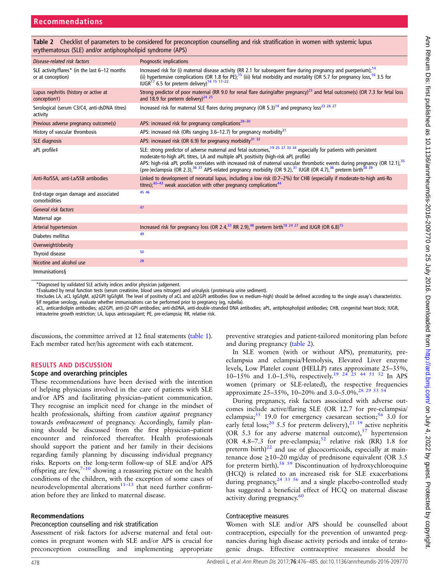<span id="page-2-0"></span>

| Table 2 Checklist of parameters to be considered for preconception counselling and risk stratification in women with systemic lupus |  |  |  |
|-------------------------------------------------------------------------------------------------------------------------------------|--|--|--|
| erythematosus (SLE) and/or antiphospholipid syndrome (APS)                                                                          |  |  |  |

| Disease-related risk factors                                       | <b>Prognostic implications</b>                                                                                                                                                                                                                                                                                                                                                                                                                                                                                              |
|--------------------------------------------------------------------|-----------------------------------------------------------------------------------------------------------------------------------------------------------------------------------------------------------------------------------------------------------------------------------------------------------------------------------------------------------------------------------------------------------------------------------------------------------------------------------------------------------------------------|
| SLE activity/flares* (in the last 6-12 months<br>or at conception) | Increased risk for (i) maternal disease activity (RR 2.1 for subsequent flare during pregnancy and puerperium); <sup>14</sup><br>(ii) hypertensive complications (OR 1.8 for PE); <sup>15</sup> (iii) fetal morbidity and mortality (OR 5.7 for pregnancy loss, <sup>16</sup> 3.5 for<br>IUGR <sup>17</sup> 6.5 for preterm delivery) <sup>14 15 17-22</sup>                                                                                                                                                                |
| Lupus nephritis (history or active at<br>conception t)             | Strong predictor of poor maternal (RR 9.0 for renal flare during/after pregnancy) <sup>23</sup> and fetal outcome(s) (OR 7.3 for fetal loss<br>and 18.9 for preterm delivery) <sup>24 25</sup>                                                                                                                                                                                                                                                                                                                              |
| Serological (serum C3/C4, anti-dsDNA titres)<br>activity           | Increased risk for maternal SLE flares during pregnancy (OR 5.3) <sup>14</sup> and pregnancy loss <sup>23</sup> 26 <sup>27</sup>                                                                                                                                                                                                                                                                                                                                                                                            |
| Previous adverse pregnancy outcome(s)                              | APS: increased risk for pregnancy complications <sup>28-30</sup>                                                                                                                                                                                                                                                                                                                                                                                                                                                            |
| History of vascular thrombosis                                     | APS: increased risk (ORs ranging 3.6–12.7) for pregnancy morbidity <sup>31</sup>                                                                                                                                                                                                                                                                                                                                                                                                                                            |
| SLE diagnosis                                                      | APS: increased risk (OR 6.9) for pregnancy morbidity <sup>31 32</sup>                                                                                                                                                                                                                                                                                                                                                                                                                                                       |
| aPL profile‡                                                       | SLE: strong predictor of adverse maternal and fetal outcomes, <sup>19 25</sup> <sup>27</sup> <sup>33</sup> <sup>34</sup> especially for patients with persistent<br>moderate-to-high aPL titres, LA and multiple aPL positivity (high-risk aPL profile)<br>APS: high-risk aPL profile correlates with increased risk of maternal vascular thrombotic events during pregnancy (OR 12.1), 35<br>(pre-)eclampsia (OR 2.3), 36 37 APS-related pregnancy morbidity (OR 9.2), 31 IUGR (OR 4.7), 36 preterm birth <sup>38 39</sup> |
| Anti-Ro/SSA, anti-La/SSB antibodies                                | Linked to development of neonatal lupus, including a low risk (0.7-2%) for CHB (especially if moderate-to-high anti-Ro<br>titres); $40-43$ weak association with other pregnancy complications $44$                                                                                                                                                                                                                                                                                                                         |
| End-stage organ damage and associated<br>comorbidities             | 45 46                                                                                                                                                                                                                                                                                                                                                                                                                                                                                                                       |
| General risk factors                                               | 47                                                                                                                                                                                                                                                                                                                                                                                                                                                                                                                          |
| Maternal age                                                       |                                                                                                                                                                                                                                                                                                                                                                                                                                                                                                                             |
| <b>Arterial hypertension</b>                                       | Increased risk for pregnancy loss (OR 2.4, <sup>33</sup> RR 2.9), <sup>48</sup> preterm birth <sup>18 24 27</sup> and IUGR (OR 6.8) <sup>15</sup>                                                                                                                                                                                                                                                                                                                                                                           |
| Diabetes mellitus                                                  | 49                                                                                                                                                                                                                                                                                                                                                                                                                                                                                                                          |
| Overweight/obesity                                                 |                                                                                                                                                                                                                                                                                                                                                                                                                                                                                                                             |
| Thyroid disease                                                    | 50                                                                                                                                                                                                                                                                                                                                                                                                                                                                                                                          |
| Nicotine and alcohol use                                           | 28                                                                                                                                                                                                                                                                                                                                                                                                                                                                                                                          |
| Immunisations                                                      |                                                                                                                                                                                                                                                                                                                                                                                                                                                                                                                             |

\*Diagnosed by validated SLE activity indices and/or physician judgement.

†Evaluated by renal function tests (serum creatinine, blood urea nitrogen) and urinalysis (proteinuria urine sediment).

‡Includes LA, aCL IgG/IgM, aβ2GPI IgG/IgM. The level of positivity of aCL and aβ2GPI antibodies (low vs medium–high) should be defined according to the single assay's characteristics. §If negative serology, evaluate whether immunisations can be performed prior to pregnancy (eg, rubella).

aCL, anticardiolipin antibodies; aβ2GPI, anti-β2-GPI antibodies; anti-dsDNA, anti-double-stranded DNA antibodies; aPL, antiphospholipid antibodies; CHB, congenital heart block; IUGR, intrauterine growth restriction; LA, lupus anticoagulant; PE, pre-eclampsia; RR, relative risk.

discussions, the committee arrived at 12 final statements [\(table 1](#page-1-0)). Each member rated her/his agreement with each statement.

#### RESULTS AND DISCUSSION

#### Scope and overarching principles

These recommendations have been devised with the intention of helping physicians involved in the care of patients with SLE and/or APS and facilitating physician–patient communication. They recognise an implicit need for change in the mindset of health professionals, shifting from *caution against* pregnancy towards embracement of pregnancy. Accordingly, family planning should be discussed from the first physician–patient encounter and reinforced thereafter. Health professionals should support the patient and her family in their decisions regarding family planning by discussing individual pregnancy risks. Reports on the long-term follow-up of SLE and/or APS offspring are few, $7-10$  $7-10$  showing a reassuring picture on the health conditions of the children, with the exception of some cases of neurodevelopmental alterations $11-13$  that need further confirmation before they are linked to maternal disease.

#### Recommendations

#### Preconception counselling and risk stratification

Assessment of risk factors for adverse maternal and fetal outcomes in pregnant women with SLE and/or APS is crucial for preconception counselling and implementing appropriate

preventive strategies and patient-tailored monitoring plan before and during pregnancy (table 2).

In SLE women (with or without APS), prematurity, preeclampsia and eclampsia/Hemolysis, Elevated Liver enzyme levels, Low Platelet count (HELLP) rates approximate 25–35%, 10–15% and 1.0–1.5%, respectively.[19 24 25](#page-6-0) [44 51 52](#page-7-0) In APS women (primary or SLE-related), the respective frequencies approximate 25–35%, 10–20% and 3.0–5.0%.<sup>28</sup> <sup>29</sup> <sup>53</sup> <sup>54</sup>

During pregnancy, risk factors associated with adverse outcomes include active/flaring SLE (OR 12.7 for pre-eclampsia/ eclampsia;  $55$  19.0 for emergency caesarean section;  $56$  3.0 for early fetal loss;<sup>[20](#page-6-0)</sup> 5.5 for preterm delivery),<sup>21</sup> <sup>19</sup> active nephritis (OR 5.3 for any adverse maternal outcome),  $57$  hypertension (OR 4.8–7.3 for pre-eclampsia;  $52$  relative risk (RR) 1.8 for preterm birth) $22$  and use of glucocorticoids, especially at maintenance dose  $\geq$ 10–20 mg/day of prednisone equivalent (OR 3.5) for preterm birth).<sup>58</sup> 59 Discontinuation of hydroxychloroquine (HCQ) is related to an increased risk for SLE exacerbations during pregnancy,  $24 \frac{33}{56}$  and a single placebo-controlled study has suggested a beneficial effect of HCQ on maternal disease activity during pregnancy.<sup>[60](#page-7-0)</sup>

#### Contraceptive measures

Women with SLE and/or APS should be counselled about contraception, especially for the prevention of unwanted pregnancies during high disease activity periods and intake of teratogenic drugs. Effective contraceptive measures should be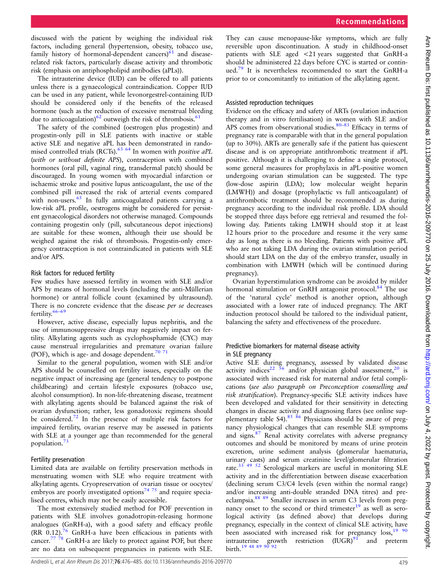The intrauterine device (IUD) can be offered to all patients unless there is a gynaecological contraindication. Copper IUD can be used in any patient, while levonorgestrel-containing IUD should be considered only if the benefits of the released hormone (such as the reduction of excessive menstrual bleeding due to anticoagulation)<sup>[62](#page-7-0)</sup> outweigh the risk of thrombosis.<sup>[61](#page-7-0)</sup>

The safety of the combined (oestrogen plus progestin) and progestin-only pill in SLE patients with inactive or stable active SLE and negative aPL has been demonstrated in rando-mised controlled trials (RCTs).<sup>[63 64](#page-7-0)</sup> In women with *positive aPL* (with or without definite APS), contraception with combined hormones (oral pill, vaginal ring, transdermal patch) should be discouraged. In young women with myocardial infarction or ischaemic stroke and positive lupus anticoagulant, the use of the combined pill increased the risk of arterial events compared with non-users.<sup>[65](#page-7-0)</sup> In fully anticoagulated patients carrying a low-risk aPL profile, oestrogens might be considered for persistent gynaecological disorders not otherwise managed. Compounds containing progestin only (pill, subcutaneous depot injections) are suitable for these women, although their use should be weighed against the risk of thrombosis. Progestin-only emergency contraception is not contraindicated in patients with SLE and/or APS.

#### Risk factors for reduced fertility

Few studies have assessed fertility in women with SLE and/or APS by means of hormonal levels (including the anti-Müllerian hormone) or antral follicle count (examined by ultrasound). There is no concrete evidence that the disease per se decreases fertility.[66](#page-7-0)–<sup>69</sup>

However, active disease, especially lupus nephritis, and the use of immunosuppressive drugs may negatively impact on fertility. Alkylating agents such as cyclophosphamide (CYC) may cause menstrual irregularities and premature ovarian failure (POF), which is age- and dosage dependent.<sup>70</sup><sup>71</sup>

Similar to the general population, women with SLE and/or APS should be counselled on fertility issues, especially on the negative impact of increasing age (general tendency to postpone childbearing) and certain lifestyle exposures (tobacco use, alcohol consumption). In non-life-threatening disease, treatment with alkylating agents should be balanced against the risk of ovarian dysfunction; rather, less gonadotoxic regimens should be considered.<sup>[72](#page-7-0)</sup> In the presence of multiple risk factors for impaired fertility, ovarian reserve may be assessed in patients with SLE at a younger age than recommended for the general population.[73](#page-7-0)

#### Fertility preservation

Limited data are available on fertility preservation methods in menstruating women with SLE who require treatment with alkylating agents. Cryopreservation of ovarian tissue or oocytes/ embryos are poorly investigated options<sup>74 75</sup> and require specialised centres, which may not be easily accessible.

The most extensively studied method for POF prevention in patients with SLE involves gonadotropin-releasing hormone analogues (GnRH-a), with a good safety and efficacy profile (RR  $0.12$ ).<sup>[76](#page-7-0)</sup> GnRH-a have been efficacious in patients with cancer.<sup>77</sup>  $\frac{78}{8}$  GnRH-a are likely to protect against POF, but there are no data on subsequent pregnancies in patients with SLE.

They can cause menopause-like symptoms, which are fully reversible upon discontinuation. A study in childhood-onset patients with SLE aged <21 years suggested that GnRH-a should be administered 22 days before CYC is started or continued[.79](#page-7-0) It is nevertheless recommended to start the GnRH-a prior to or concomitantly to initiation of the alkylating agent.

#### Assisted reproduction techniques

Evidence on the efficacy and safety of ARTs (ovulation induction therapy and in vitro fertilisation) in women with SLE and/or APS comes from observational studies.  $80-83$  $80-83$  Efficacy in terms of pregnancy rate is comparable with that in the general population (up to 30%). ARTs are generally safe if the patient has quiescent disease and is on appropriate antithrombotic treatment if aPL positive. Although it is challenging to define a single protocol, some general measures for prophylaxis in aPL-positive women undergoing ovarian stimulation can be suggested. The type (low-dose aspirin (LDA); low molecular weight heparin (LMWH)) and dosage (prophylactic vs full anticoagulant) of antithrombotic treatment should be recommended as during pregnancy according to the individual risk profile. LDA should be stopped three days before egg retrieval and resumed the following day. Patients taking LMWH should stop it at least 12 hours prior to the procedure and resume it the very same day as long as there is no bleeding. Patients with positive aPL who are not taking LDA during the ovarian stimulation period should start LDA on the day of the embryo transfer, usually in combination with LMWH (which will be continued during pregnancy).

Ovarian hyperstimulation syndrome can be avoided by milder hormonal stimulation or GnRH antagonist protocol.<sup>84</sup> The use of the 'natural cycle' method is another option, although associated with a lower rate of induced pregnancy. The ART induction protocol should be tailored to the individual patient, balancing the safety and effectiveness of the procedure.

#### Predictive biomarkers for maternal disease activity in SLE pregnancy

Active SLE during pregnancy, assessed by validated disease activity indices<sup>[22](#page-6-0)</sup>  $\frac{36}{6}$  and/or physician global assessment,<sup>[20](#page-6-0)</sup> is associated with increased risk for maternal and/or fetal complications (see also paragraph on Preconception counselling and risk stratification). Pregnancy-specific SLE activity indices have been developed and validated for their sensitivity in detecting changes in disease activity and diagnosing flares (see online sup-plementary table S4).<sup>[85 86](#page-7-0)</sup> Physicians should be aware of pregnancy physiological changes that can resemble SLE symptoms and signs.<sup>[87](#page-7-0)</sup> Renal activity correlates with adverse pregnancy outcomes and should be monitored by means of urine protein excretion, urine sediment analysis (glomerular haematuria, urinary casts) and serum creatinine level/glomerular filtration rate.<sup>[33](#page-6-0)</sup> <sup>49</sup> <sup>52</sup> Serological markers are useful in monitoring SLE activity and in the differentiation between disease exacerbation (declining serum C3/C4 levels (even within the normal range) and/or increasing anti-double stranded DNA titres) and preeclampsia.[88 89](#page-7-0) Smaller increases in serum C3 levels from pregnancy onset to the second or third trimester $19$  as well as serological activity (as defined above) that develops during pregnancy, especially in the context of clinical SLE activity, have been associated with increased risk for pregnancy  $\cos$ ,  $19\frac{90}{90}$  $19\frac{90}{90}$ intrauterine growth restriction  $(IVGR)^{91}$  $(IVGR)^{91}$  $(IVGR)^{91}$  and preterm birth.<sup>[19](#page-6-0) [48 89 90 92](#page-7-0)</sup>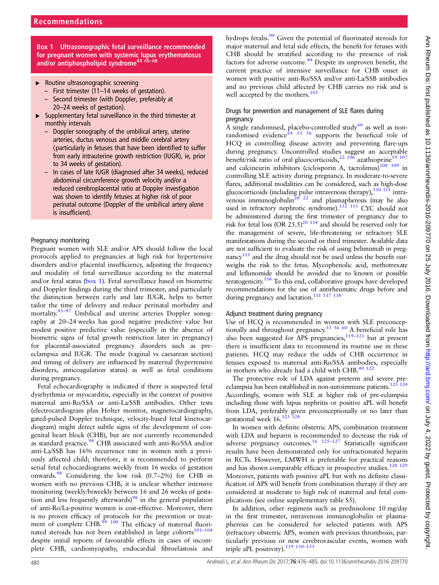Box 1 Ultrasonographic fetal surveillance recommended for pregnant women with systemic lupus erythematosus and/or antiphospholipid syndrome<sup>[43](#page-7-0)</sup><sup>45-[48](#page-7-0)</sup>

- ▸ Routine ultrasonographic screening
	- First trimester (11–14 weeks of gestation).
	- Second trimester (with Doppler, preferably at 20–24 weeks of gestation).
- $\triangleright$  Supplementary fetal surveillance in the third trimester at monthly intervals
	- Doppler sonography of the umbilical artery, uterine arteries, ductus venosus and middle cerebral artery (particularly in fetuses that have been identified to suffer from early intrauterine growth restriction (IUGR), ie, prior to 34 weeks of gestation).
	- In cases of late IUGR (diagnosed after 34 weeks), reduced abdominal circumference growth velocity and/or a reduced cerebroplacental ratio at Doppler investigation was shown to identify fetuses at higher risk of poor perinatal outcome (Doppler of the umbilical artery alone is insufficient).

### Pregnancy monitoring

Pregnant women with SLE and/or APS should follow the local protocols applied to pregnancies at high risk for hypertensive disorders and/or placental insufficiency, adjusting the frequency and modality of fetal surveillance according to the maternal and/or fetal status (box 1). Fetal surveillance based on biometric and Doppler findings during the third trimester, and particularly the distinction between early and late IUGR, helps to better tailor the time of delivery and reduce perinatal morbidity and mortality.<sup>[93](#page-7-0)-97</sup> Umbilical and uterine arteries Doppler sonography at 20–24 weeks has good negative predictive value but modest positive predictive value (especially in the absence of biometric signs of fetal growth restriction later in pregnancy) for placental-associated pregnancy disorders such as preeclampsia and IUGR. The mode (vaginal vs caesarean section) and timing of delivery are influenced by maternal (hypertensive disorders, anticoagulation status) as well as fetal conditions during pregnancy.

Fetal echocardiography is indicated if there is suspected fetal dysrhythmia or myocarditis, especially in the context of positive maternal anti-Ro/SSA or anti-La/SSB antibodies. Other tests (electrocardiogram plus Holter monitor, magnetocardiography, gated-pulsed Doppler technique, velocity-based fetal kinetocardiogram) might detect subtle signs of the development of congenital heart block (CHB), but are not currently recommended as standard practice.<sup>[98](#page-8-0)</sup> CHB associated with anti-Ro/SSA and/or anti-La/SSB has 16% recurrence rate in women with a previously affected child; therefore, it is recommended to perform serial fetal echocardiograms weekly from 16 weeks of gestation onwards.[98](#page-8-0) Considering the low risk (0.7–2%) for CHB in women with no previous CHB, it is unclear whether intensive monitoring (weekly/biweekly between 16 and 26 weeks of gesta-tion and less frequently afterwards)<sup>[98](#page-8-0)</sup> in the general population of anti-Ro/La-positive women is cost-effective. Moreover, there is no proven efficacy of protocols for the prevention or treatment of complete  $\overrightarrow{CHB}$ .<sup>99</sup> <sup>100</sup> The efficacy of maternal fluorinated steroids has not been established in large cohorts $101-104$  $101-104$ despite initial reports of favourable effects in cases of incomplete CHB, cardiomyopathy, endocardial fibroelastosis and hydrops fetalis.<sup>[99](#page-8-0)</sup> Given the potential of fluorinated steroids for major maternal and fetal side effects, the benefit for fetuses with CHB should be stratified according to the presence of risk factors for adverse outcome.<sup>[99](#page-8-0)</sup> Despite its unproven benefit, the current practice of intensive surveillance for CHB onset in women with positive anti-Ro/SSA and/or anti-La/SSB antibodies and no previous child affected by CHB carries no risk and is well accepted by the mothers.<sup>[105](#page-8-0)</sup>

#### Drugs for prevention and management of SLE flares during pregnancy

A single randomised, placebo-controlled study $60$  as well as non-randomised evidence<sup>[24 33](#page-6-0) [56](#page-7-0)</sup> supports the beneficial role of HCQ in controlling disease activity and preventing flare-ups during pregnancy. Uncontrolled studies suggest an acceptable during pregnancy. Uncontrolled statutes suggest an acception of oral glucocorticoids, $2^{2}$  [106](#page-8-0) azathioprine<sup>[59](#page-7-0)</sup> and calcineurin inhibitors (ciclosporin A, tacrolimus) $108$  109 in controlling SLE activity during pregnancy. In moderate-to-severe flares, additional modalities can be considered, such as high-dose glucocorticoids (including pulse intravenous therapy), $110\,111$  intravenous immunoglobulin $^{20}$ <sup>22</sup> and plasmapheresis (may be also used in refractory nephrotic syndrome).<sup>112</sup> <sup>113</sup> CYC should not be administered during the first trimester of pregnancy due to risk for fetal loss  $(OR 25.5)^{20.114}$  and should be reserved only for the management of severe, life-threatening or refractory SLE manifestations during the second or third trimester. Available data are not sufficient to evaluate the risk of using belimumab in preg-nancy<sup>[115](#page-8-0)</sup> and the drug should not be used unless the benefit outweighs the risk to the fetus. Mycophenolic acid, methotrexate and leflunomide should be avoided due to known or possible teratogenicity.<sup>116</sup> To this end, collaborative groups have developed recommendations for the use of antirheumatic drugs before and during pregnancy and lactation.<sup>111 117</sup> 118

#### Adjunct treatment during pregnancy

Use of HCQ is recommended in women with SLE preconcep-tionally and throughout pregnancy.<sup>33 [56 60](#page-7-0)</sup> A beneficial role has also been suggested for APS pregnancies,<sup>119-[121](#page-8-0)</sup> but at present there is insufficient data to recommend its routine use in these patients. HCQ may reduce the odds of CHB occurrence in fetuses exposed to maternal anti-Ro/SSA antibodies, especially in mothers who already had a child with CHB.<sup>[40](#page-6-0) [122](#page-8-0)</sup>

The protective role of LDA against preterm and severe preeclampsia has been established in non-autoimmune patients.<sup>123</sup><sup>124</sup> Accordingly, women with SLE at higher risk of pre-eclampsia including those with lupus nephritis or positive aPL will benefit from LDA, preferably given preconceptionally or no later than gestational week 16.<sup>123</sup><sup>124</sup>

In women with definite obstetric APS, combination treatment with LDA and heparin is recommended to decrease the risk of adverse pregnancy outcomes.<sup>16</sup> <sup>125-127</sup> Statistically significant results have been demonstrated only for unfractionated heparin in RCTs. However, LMWH is preferable for practical reasons and has shown comparable efficacy in prospective studies.<sup>[128 129](#page-8-0)</sup> Moreover, patients with positive aPL but with no definite classification of APS will benefit from combination therapy if they are considered at moderate to high risk of maternal and fetal complications (see online supplementary table S5).

In addition, other regimens such as prednisolone 10 mg/day in the first trimester, intravenous immunoglobulin or plasmapheresis can be considered for selected patients with APS (refractory obstetric APS, women with previous thrombosis, particularly previous or new cerebrovascular events, women with triple aPL positivity).<sup>119</sup> <sup>130-133</sup>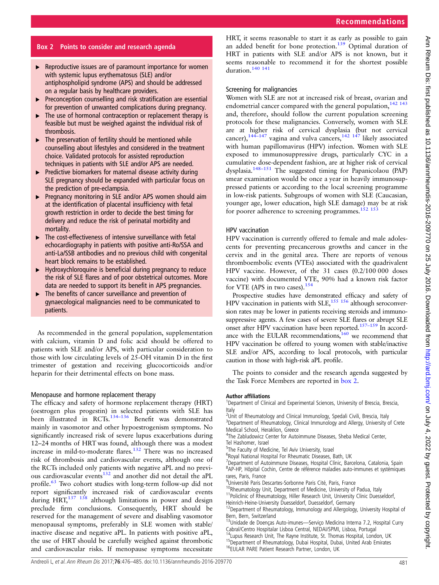### Box 2 Points to consider and research agenda

- ▸ Reproductive issues are of paramount importance for women with systemic lupus erythematosus (SLE) and/or antiphospholipid syndrome (APS) and should be addressed on a regular basis by healthcare providers.
- ▸ Preconception counselling and risk stratification are essential for prevention of unwanted complications during pregnancy.
- ▸ The use of hormonal contraception or replacement therapy is feasible but must be weighed against the individual risk of thrombosis.
- $\blacktriangleright$  The preservation of fertility should be mentioned while counselling about lifestyles and considered in the treatment choice. Validated protocols for assisted reproduction techniques in patients with SLE and/or APS are needed.
- $\blacktriangleright$  Predictive biomarkers for maternal disease activity during SLE pregnancy should be expanded with particular focus on the prediction of pre-eclampsia.
- ▶ Pregnancy monitoring in SLE and/or APS women should aim at the identification of placental insufficiency with fetal growth restriction in order to decide the best timing for delivery and reduce the risk of perinatal morbidity and mortality.
- ▸ The cost-effectiveness of intensive surveillance with fetal echocardiography in patients with positive anti-Ro/SSA and anti-La/SSB antibodies and no previous child with congenital heart block remains to be established.
- ▸ Hydroxychloroquine is beneficial during pregnancy to reduce the risk of SLE flares and of poor obstetrical outcomes. More data are needed to support its benefit in APS pregnancies.
- The benefits of cancer surveillance and prevention of gynaecological malignancies need to be communicated to patients.

As recommended in the general population, supplementation with calcium, vitamin D and folic acid should be offered to patients with SLE and/or APS, with particular consideration to those with low circulating levels of 25-OH vitamin D in the first trimester of gestation and receiving glucocorticoids and/or heparin for their detrimental effects on bone mass.

#### Menopause and hormone replacement therapy

The efficacy and safety of hormone replacement therapy (HRT) (oestrogen plus progestin) in selected patients with SLE has been illustrated in RCTs.<sup>[134](#page-8-0)-136</sup> Benefit was demonstrated mainly in vasomotor and other hypoestrogenism symptoms. No significantly increased risk of severe lupus exacerbations during 12–24 months of HRT was found, although there was a modest increase in mild-to-moderate flares.<sup>[132](#page-8-0)</sup> There was no increased risk of thrombosis and cardiovascular events, although one of the RCTs included only patients with negative aPL and no previous cardiovascular events<sup>132</sup> and another did not detail the aPL profile.<sup>[63](#page-7-0)</sup> Two cohort studies with long-term follow-up did not report significantly increased risk of cardiovascular events during HRT,<sup>[137 138](#page-8-0)</sup> although limitations in power and design preclude firm conclusions. Consequently, HRT should be reserved for the management of severe and disabling vasomotor menopausal symptoms, preferably in SLE women with stable/ inactive disease and negative aPL. In patients with positive aPL, the use of HRT should be carefully weighed against thrombotic and cardiovascular risks. If menopause symptoms necessitate

HRT, it seems reasonable to start it as early as possible to gain an added benefit for bone protection.<sup>[139](#page-8-0)</sup> Optimal duration of HRT in patients with SLE and/or APS is not known, but it seems reasonable to recommend it for the shortest possible duration.<sup>140</sup> <sup>141</sup>

#### Screening for malignancies

Women with SLE are not at increased risk of breast, ovarian and endometrial cancer compared with the general population,<sup>[142 143](#page-8-0)</sup> and, therefore, should follow the current population screening protocols for these malignancies. Conversely, women with SLE are at higher risk of cervical dysplasia (but not cervical cancer),  $144-147$  $144-147$  vagina and vulva cancers,  $142$   $147$  likely associated with human papillomavirus (HPV) infection. Women with SLE exposed to immunosuppressive drugs, particularly CYC in a cumulative dose-dependent fashion, are at higher risk of cervical dysplasia.[148](#page-9-0)–<sup>151</sup> The suggested timing for Papanicolaou (PAP) smear examination would be once a year in heavily immunosuppressed patients or according to the local screening programme in low-risk patients. Subgroups of women with SLE (Caucasian, younger age, lower education, high SLE damage) may be at risk for poorer adherence to screening programmes.<sup>1</sup>

#### HPV vaccination

HPV vaccination is currently offered to female and male adolescents for preventing precancerous growths and cancer in the cervix and in the genital area. There are reports of venous thromboembolic events (VTEs) associated with the quadrivalent HPV vaccine. However, of the 31 cases (0.2/100 000 doses vaccine) with documented VTE, 90% had a known risk factor for VTE (APS in two cases).<sup>[154](#page-9-0)</sup>

Prospective studies have demonstrated efficacy and safety of HPV vaccination in patients with SLE,<sup>[155 156](#page-9-0)</sup> although seroconversion rates may be lower in patients receiving steroids and immunosuppressive agents. A few cases of severe SLE flares or abrupt SLE onset after HPV vaccination have been reported.<sup>[157](#page-9-0)–159</sup> In accordance with the EULAR recommendations, $160$  we recommend that HPV vaccination be offered to young women with stable/inactive SLE and/or APS, according to local protocols, with particular caution in those with high-risk aPL profile.

The points to consider and the research agenda suggested by the Task Force Members are reported in box 2.

#### Author affiliations <sup>1</sup>

<sup>1</sup>Department of Clinical and Experimental Sciences, University of Brescia, Brescia, Italy

<sup>2</sup>Unit of Rheumatology and Clinical Immunology, Spedali Civili, Brescia, Italy <sup>3</sup>Department of Rheumatology, Clinical Immunology and Allergy, University of Crete Medical School, Heraklion, Greece

<sup>4</sup>The Zabludowicz Center for Autoimmune Diseases, Sheba Medical Center, Tel Hashomer, Israel

<sup>5</sup>The Faculty of Medicine, Tel Aviv University, Israel

6 Royal National Hospital For Rheumatic Diseases, Bath, UK

<sup>7</sup>Department of Autoimmune Diseases, Hospital Clínic, Barcelona, Catalonia, Spain <sup>8</sup>AP-HP, Hôpital Cochin, Centre de référence maladies auto-immunes et systémiques rares, Paris, France

<sup>9</sup>Université Paris Descartes-Sorbonne Paris Cité, Paris, France

<sup>10</sup>Rheumatology Unit, Department of Medicine, University of Padua, Italy<br><sup>11</sup>Policlinic of Rheumatology, Hiller Research Unit, University Clinic Duesseldorf, Heinrich-Heine-University Duesseldorf, Duesseldorf, Germany

<sup>12</sup>Department of Rheumatology, Immunology and Allergology, University Hospital of Bern, Bern, Switzerland

13Unidade de Doenças Auto-imunes—Serviço Medicina Interna 7.2, Hospital Curry Cabral/Centro Hospitalar Lisboa Central, NEDAI/SPMI, Lisboa, Portugal<br><sup>14</sup>Lupus Research Unit, The Rayne Institute, St. Thomas Hospital, London, UK

<sup>15</sup>Department of Rheumatology, Dubai Hospital, Dubai, United Arab Emirates<br><sup>16</sup>EULAR PARE Patient Research Partner, London, UK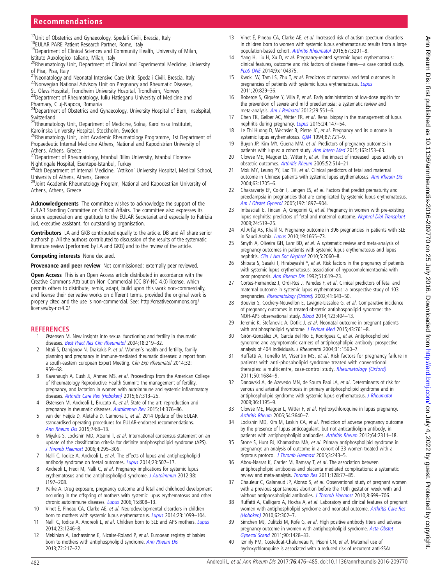# <span id="page-6-0"></span>**Recommendations**

<sup>17</sup>Unit of Obstetrics and Gynaecology, Spedali Civili, Brescia, Italy 18EULAR PARE Patient Research Partner, Rome, Italy 19Department of Clinical Sciences and Community Health, University of Milan,

Istituto Auxologico Italiano, Milan, Italy

20Rheumatology Unit, Department of Clinical and Experimental Medicine, University of Pisa, Pisa, Italy

- 21Neonatology and Neonatal Intensive Care Unit, Spedali Civili, Brescia, Italy<br><sup>22</sup>Norwegian National Advisory Unit on Pregnancy and Rheumatic Diseases,
- 
- St. Olavs Hospital, Trondheim University Hospital, Trondheim, Norway<br><sup>23</sup>Department of Rheumatology, Iuliu Hatieganu University of Medicine and

Pharmacy, Cluj-Napoca, Romania

<sup>24</sup>Department of Obstetrics and Gynaecology, University Hospital of Bern, Inselspital, **Switzerland** 

25Rheumatology Unit, Department of Medicine, Solna, Karolinska Institutet, Karolinska University Hospital, Stockholm, Sweden

<sup>26</sup>Rheumatology Unit, Joint Academic Rheumatology Programme, 1st Department of Propaedeutic Internal Medicine Athens, National and Kapodistrian University of Athens, Athens, Greece

<sup>27</sup>Department of Rheumatology, Istanbul Bilim University, Istanbul Florence

Nightingale Hospital, Esentepe-Istanbul, Turkey 284th Department of Internal Medicine, 'Attikon' University Hospital, Medical School,

University of Athens, Athens, Greece <sup>29</sup>Joint Academic Rheumatology Program, National and Kapodestrian University of

Athens, Athens, Greece

Acknowledgements The committee wishes to acknowledge the support of the EULAR Standing Committee on Clinical Affairs. The committee also expresses its sincere appreciation and gratitude to the EULAR Secretariat and especially to Patrizia Jud, executive assistant, for outstanding organisation.

Contributors LA and GKB contributed equally to the article. DB and AT share senior authorship. All the authors contributed to discussion of the results of the systematic literature review (performed by LA and GKB) and to the review of the article.

Competing interests None declared.

Provenance and peer review Not commissioned; externally peer reviewed.

Open Access This is an Open Access article distributed in accordance with the Creative Commons Attribution Non Commercial (CC BY-NC 4.0) license, which permits others to distribute, remix, adapt, build upon this work non-commercially, and license their derivative works on different terms, provided the original work is properly cited and the use is non-commercial. See: [http://creativecommons.org/](http://creativecommons.org/licenses/by-nc/4.0/) [licenses/by-nc/4.0/](http://creativecommons.org/licenses/by-nc/4.0/)

#### **REFERENCES**

- 1 Østensen M. New insights into sexual functioning and fertility in rheumatic diseases. [Best Pract Res Clin Rheumatol](http://dx.doi.org/10.1016/j.berh.2004.01.002) 2004;18:219–32.
- 2 Ntali S, Damjanov N, Drakakis P, et al. Women's health and fertility, family planning and pregnancy in immune-mediated rheumatic diseases: a report from a south-eastern European Expert Meeting. Clin Exp Rheumatol 2014;32: 959–68.
- 3 Kavanaugh A, Cush JJ, Ahmed MS, et al. Proceedings from the American College of Rheumatology Reproductive Health Summit: the management of fertility, pregnancy, and lactation in women with autoimmune and systemic inflammatory diseases. [Arthritis Care Res \(Hoboken\)](http://dx.doi.org/10.1002/acr.22516) 2015;67:313–25.
- 4 Østensen M, Andreoli L, Brucato A, et al. State of the art: reproduction and pregnancy in rheumatic diseases. [Autoimmun Rev](http://dx.doi.org/10.1016/j.autrev.2014.12.011) 2015;14:376-86
- 5 van der Heijde D, Aletaha D, Carmona L, et al. 2014 Update of the EULAR standardised operating procedures for EULAR-endorsed recommendations. [Ann Rheum Dis](http://dx.doi.org/10.1136/annrheumdis-2014-206350) 2015;74:8–13.
- 6 Miyakis S, Lockshin MD, Atsumi T, et al. International consensus statement on an update of the classification criteria for definite antiphospholipid syndrome (APS). [J Thromb Haemost](http://dx.doi.org/10.1111/j.1538-7836.2006.01753.x) 2006;4:295–306.
- 7 Nalli C, Iodice A, Andreoli L, et al. The effects of lupus and antiphospholipid antibody syndrome on foetal outcomes. [Lupus](http://dx.doi.org/10.1177/0961203313501402) 2014;23:507-17.
- 8 Andreoli L, Fredi M, Nalli C, et al. Pregnancy implications for systemic lupus erythematosus and the antiphospholipid syndrome. [J Autoimmun](http://dx.doi.org/10.1016/j.jaut.2011.11.010) 2012;38: J197–208.
- 9 Parke A. Drug exposure, pregnancy outcome and fetal and childhood development occurring in the offspring of mothers with systemic lupus erythematosus and other chronic autoimmune diseases. [Lupus](http://dx.doi.org/10.1177/0961203306071003) 2006;15:808-13.
- Vinet É, Pineau CA, Clarke AE, et al. Neurodevelopmental disorders in children born to mothers with systemic lupus erythematosus. [Lupus](http://dx.doi.org/10.1177/0961203314541691) 2014;23:1099-104.
- 11 Nalli C, Iodice A, Andreoli L, et al. Children born to SLE and APS mothers. [Lupus](http://dx.doi.org/10.1177/0961203314538109) 2014;23:1246–8.
- 12 Mekinian A, Lachassinne E, Nicaise-Roland P, et al. European registry of babies born to mothers with antiphospholipid syndrome. [Ann Rheum Dis](http://dx.doi.org/10.1136/annrheumdis-2011-201167) 2013;72:217–22.
- 13 Vinet É, Pineau CA, Clarke AE, et al. Increased risk of autism spectrum disorders in children born to women with systemic lupus erythematosus: results from a large population-based cohort. [Arthritis Rheumatol](http://dx.doi.org/10.1002/art.39320) 2015;67:3201–8.
- 14 Yang H, Liu H, Xu D, et al. Pregnancy-related systemic lupus erythematosus: clinical features, outcome and risk factors of disease flares—a case control study. [PLoS ONE](http://dx.doi.org/10.1371/journal.pone.0104375) 2014;9:e104375.
- 15 Kwok LW, Tam LS, Zhu T, et al. Predictors of maternal and fetal outcomes in pregnancies of patients with systemic lupus erythematosus. [Lupus](http://dx.doi.org/10.1177/0961203310397967) 2011;20:829–36.
- 16 Roberge S, Giguère Y, Villa P, et al. Early administration of low-dose aspirin for the prevention of severe and mild preeclampsia: a systematic review and meta-analysis. [Am J Perinatol](http://dx.doi.org/10.1055/s-0032-1310527) 2012;29:551–6.
- 17 Chen TK, Gelber AC, Witter FR, et al. Renal biopsy in the management of lupus nephritis during pregnancy. [Lupus](http://dx.doi.org/10.1177/0961203314551812) 2015;24:147–54.
- 18 Le Thi Huong D, Wechsler B, Piette JC, et al. Pregnancy and its outcome in systemic lupus erythematosus. [QJM](http://dx.doi.org/10.1093/oxfordjournals.qjmed.a068889) 1994;87:721-9.
- 19 Buyon JP, Kim MY, Guerra MM, et al. Predictors of pregnancy outcomes in patients with lupus: a cohort study. [Ann Intern Med](http://dx.doi.org/10.7326/M14-2235) 2015;163:153-63.
- 20 Clowse ME, Magder LS, Witter F, et al. The impact of increased lupus activity on obstetric outcomes. [Arthritis Rheum](http://dx.doi.org/10.1002/art.20864) 2005;52:514–21.
- 21 Mok MY, Leung PY, Lao TH, et al. Clinical predictors of fetal and maternal outcome in Chinese patients with systemic lupus erythematosus. [Ann Rheum Dis](http://dx.doi.org/10.1136/ard.2004.022442) 2004;63:1705–6.
- 22 Chakravarty EF, Colón I, Langen ES, et al. Factors that predict prematurity and preeclampsia in pregnancies that are complicated by systemic lupus erythematosus. [Am J Obstet Gynecol](http://dx.doi.org/10.1016/j.ajog.2005.02.063) 2005;192:1897–904.
- 23 Imbasciati E, Tincani A, Gregorini G, et al. Pregnancy in women with pre-existing lupus nephritis: predictors of fetal and maternal outcome. [Nephrol Dial Transplant](http://dx.doi.org/10.1093/ndt/gfn348) 2009;24:519–25.
- 24 Al Arfaj AS, Khalil N. Pregnancy outcome in 396 pregnancies in patients with SLE in Saudi Arabia. [Lupus](http://dx.doi.org/10.1177/0961203310378669) 2010;19:1665–73.
- 25 Smyth A, Oliveira GH, Lahr BD, et al. A systematic review and meta-analysis of pregnancy outcomes in patients with systemic lupus erythematosus and lupus nephritis. [Clin J Am Soc Nephrol](http://dx.doi.org/10.2215/CJN.00240110) 2010;5:2060-8.
- 26 Shibata S, Sasaki T, Hirabayashi Y, et al. Risk factors in the pregnancy of patients with systemic lupus erythematosus: association of hypocomplementaemia with poor prognosis. [Ann Rheum Dis](http://dx.doi.org/10.1136/ard.51.5.619) 1992;51:619–23.
- 27 Cortes-Hernandez J, Ordi-Ros J, Paredes F, et al. Clinical predictors of fetal and maternal outcome in systemic lupus erythematosus: a prospective study of 103 pregnancies. [Rheumatology \(Oxford\)](http://dx.doi.org/10.1093/rheumatology/41.6.643) 2002;41:643-50.
- 28 Bouvier S, Cochery-Nouvellon E, Lavigne-Lissalde G, et al. Comparative incidence of pregnancy outcomes in treated obstetric antiphospholipid syndrome: the NOH-APS observational study. [Blood](http://dx.doi.org/10.1182/blood-2013-08-522623) 2014;123:404–13.
- 29 Jeremic K, Stefanovic A, Dotlic J, et al. Neonatal outcome in pregnant patients with antiphospholipid syndrome. [J Perinat Med](http://dx.doi.org/10.1515/jpm-2014-0118) 2015;43:761-8.
- 30 Girón-González JA, García del Río E, Rodríguez C, et al. Antiphospholipid syndrome and asymptomatic carriers of antiphospholipid antibody: prospective analysis of 404 individuals. J Rheumatol 2004;31:1560–7.
- 31 Ruffatti A, Tonello M, Visentin MS, et al. Risk factors for pregnancy failure in patients with anti-phospholipid syndrome treated with conventional therapies: a multicentre, case-control study. [Rheumatology \(Oxford\)](http://dx.doi.org/10.1093/rheumatology/ker139) 2011;50:1684–9.
- 32 Danowski A, de Azevedo MN, de Souza Papi JA, et al. Determinants of risk for venous and arterial thrombosis in primary antiphospholipid syndrome and in antiphospholipid syndrome with systemic lupus erythematosus. [J Rheumatol](http://dx.doi.org/10.3899/jrheum.081194) 2009;36:1195–9.
- 33 Clowse ME, Magder L, Witter F, et al. Hydroxychloroquine in lupus pregnancy. [Arthritis Rheum](http://dx.doi.org/10.1002/art.22159) 2006;54:3640–7.
- 34 Lockshin MD, Kim M, Laskin CA, et al. Prediction of adverse pregnancy outcome by the presence of lupus anticoagulant, but not anticardiolipin antibody, in patients with antiphospholipid antibodies. [Arthritis Rheum](http://dx.doi.org/10.1002/art.34402) 2012;64:2311-18.
- 35 Stone S, Hunt BJ, Khamashta MA, et al. Primary antiphospholipid syndrome in pregnancy: an analysis of outcome in a cohort of 33 women treated with a rigorous protocol. [J Thromb Haemost](http://dx.doi.org/10.1111/j.1538-7836.2005.01185.x) 2005;3:243-5.
- 36 Abou-Nassar K, Carrier M, Ramsay T, et al. The association between antiphospholipid antibodies and placenta mediated complications: a systematic review and meta-analysis. [Thromb Res](http://dx.doi.org/10.1016/j.thromres.2011.02.006) 2011;128:77-85.
- 37 Chauleur C, Galanaud JP, Alonso S, et al. Observational study of pregnant women with a previous spontaneous abortion before the 10th gestation week with and without antiphospholipid antibodies. [J Thromb Haemost](http://dx.doi.org/10.1111/j.1538-7836.2010.03747.x) 2010;8:699-706.
- 38 Ruffatti A, Calligaro A, Hoxha A, et al. Laboratory and clinical features of pregnant women with antiphospholipid syndrome and neonatal outcome. [Arthritis Care Res](http://dx.doi.org/10.1002/acr.20098) [\(Hoboken\)](http://dx.doi.org/10.1002/acr.20098) 2010;62:302–7.
- 39 Simchen MJ, Dulitzki M, Rofe G, et al. High positive antibody titers and adverse pregnancy outcome in women with antiphospholipid syndrome. [Acta Obstet](http://dx.doi.org/10.1111/j.1600-0412.2011.01236.x) [Gynecol Scand](http://dx.doi.org/10.1111/j.1600-0412.2011.01236.x) 2011;90:1428–33.
- 40 Izmirly PM, Costedoat-Chalumeau N, Pisoni CN, et al. Maternal use of hydroxychloroquine is associated with a reduced risk of recurrent anti-SSA/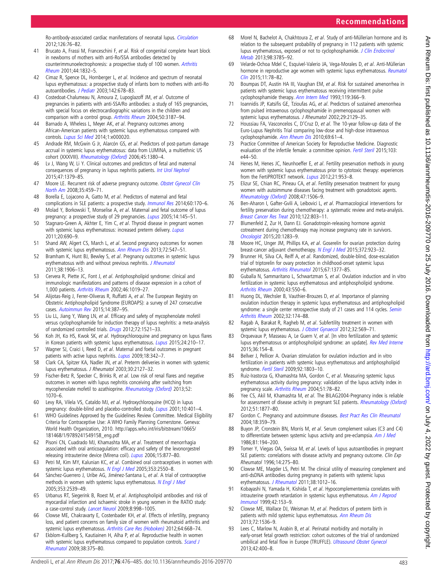<span id="page-7-0"></span>Ro-antibody-associated cardiac manifestations of neonatal lupus. [Circulation](http://dx.doi.org/10.1161/CIRCULATIONAHA.111.089268) 2012;126:76–82.

- 41 Brucato A, Frassi M, Franceschini F, et al. Risk of congenital complete heart block in newborns of mothers with anti-Ro/SSA antibodies detected by counterimmunoelectrophoresis: a prospective study of 100 women. [Arthritis](http://dx.doi.org/10.1002/1529-0131(200108)44:8<1832::AID-ART320>3.0.CO;2-C) [Rheum](http://dx.doi.org/10.1002/1529-0131(200108)44:8<1832::AID-ART320>3.0.CO;2-C) 2001;44:1832–5.
- 42 Cimaz R, Spence DL, Hornberger L, et al. Incidence and spectrum of neonatal lupus erythematosus: a prospective study of infants born to mothers with anti-Ro autoantibodies. [J Pediatr](http://dx.doi.org/10.1067/mpd.2003.233) 2003;142:678-83.
- Costedoat-Chalumeau N, Amoura Z, Lupoglazoff JM, et al. Outcome of pregnancies in patients with anti-SSA/Ro antibodies: a study of 165 pregnancies, with special focus on electrocardiographic variations in the children and comparison with a control group. [Arthritis Rheum](http://dx.doi.org/10.1002/art.20554) 2004;50:3187–94.
- 44 Barnado A, Wheless L, Meyer AK, et al. Pregnancy outcomes among African-American patients with systemic lupus erythematosus compared with controls. [Lupus Sci Med](http://dx.doi.org/10.1136/lupus-2014-000020) 2014;1:e000020.
- 45 Andrade RM, McGwin G Jr, Alarcón GS, et al. Predictors of post-partum damage accrual in systemic lupus erythematosus: data from LUMINA, a multiethnic US cohort (XXXVIII). [Rheumatology \(Oxford\)](http://dx.doi.org/10.1093/rheumatology/kel222) 2006;45:1380-4.
- 46 Lv J, Wang W, Li Y. Clinical outcomes and predictors of fetal and maternal consequences of pregnancy in lupus nephritis patients. [Int Urol Nephrol](http://dx.doi.org/10.1007/s11255-015-1032-y) 2015;47:1379–85.
- 47 Moore LE. Recurrent risk of adverse pregnancy outcome. [Obstet Gynecol Clin](http://dx.doi.org/ix) [North Am](http://dx.doi.org/ix) 2008;35:459–71.
- 48 Borella E, Lojacono A, Gatto M, et al. Predictors of maternal and fetal complications in SLE patients: a prospective study. [Immunol Res](http://dx.doi.org/10.1007/s12026-014-8572-6) 2014;60:170-6.
- 49 Molad Y, Borkowski T, Monselise A, et al. Maternal and fetal outcome of lupus pregnancy: a prospective study of 29 pregnancies. [Lupus](http://dx.doi.org/10.1191/0961203305lu2072oa) 2005;14:145-51.
- 50 Stagnaro-Green A, Akhter E, Yim C, et al. Thyroid disease in pregnant women with systemic lupus erythematosus: increased preterm delivery. [Lupus](http://dx.doi.org/10.1177/0961203310394894) 2011;20:690–9.
- 51 Shand AW, Algert CS, March L, et al. Second pregnancy outcomes for women with systemic lupus erythematosus. [Ann Rheum Dis](http://dx.doi.org/10.1136/annrheumdis-2011-201210) 2013:72:547-51.
- 52 Bramham K, Hunt BJ, Bewley S, et al. Pregnancy outcomes in systemic lupus erythematosus with and without previous nephritis. [J Rheumatol](http://dx.doi.org/10.3899/jrheum.100997) 2011;38:1906–13.
- 53 Cervera R, Piette JC, Font J, et al. Antiphospholipid syndrome: clinical and immunologic manifestations and patterns of disease expression in a cohort of 1,000 patients. [Arthritis Rheum](http://dx.doi.org/10.1002/art.10187) 2002;46:1019–27.
- 54 Alijotas-Reig J, Ferrer-Oliveras R, Ruffatti A, et al. The European Registry on Obstetric Antiphospholipid Syndrome (EUROAPS): a survey of 247 consecutive cases. [Autoimmun Rev](http://dx.doi.org/10.1016/j.autrev.2014.12.010) 2015;14:387–95.
- 55 Liu LL, Jiang Y, Wang LN, et al. Efficacy and safety of mycophenolate mofetil versus cyclophosphamide for induction therapy of lupus nephritis: a meta-analysis of randomized controlled trials. [Drugs](http://dx.doi.org/10.2165/11635030-000000000-00000) 2012;72:1521-33.
- 56 Koh JH, Ko HS, Kwok SK, et al. Hydroxychloroquine and pregnancy on lupus flares in Korean patients with systemic lupus erythematosus. [Lupus](http://dx.doi.org/10.1177/0961203314555352) 2015;24:210-17.
- 57 Wagner SJ, Craici I, Reed D, et al. Maternal and foetal outcomes in pregnant patients with active lupus nephritis. [Lupus](http://dx.doi.org/10.1177/0961203308097575) 2009;18:342-7.
- 58 Clark CA, Spitzer KA, Nadler JN, et al. Preterm deliveries in women with systemic lupus erythematosus. J Rheumatol 2003;30:2127–32.
- 59 Fischer-Betz R, Specker C, Brinks R, et al. Low risk of renal flares and negative outcomes in women with lupus nephritis conceiving after switching from mycophenolate mofetil to azathioprine. [Rheumatology \(Oxford\)](http://dx.doi.org/10.1093/rheumatology/kes425) 2013;52: 1070–6.
- 60 Levy RA, Vilela VS, Cataldo MJ, et al. Hydroxychloroquine (HCQ) in lupus pregnancy: double-blind and placebo-controlled study. *[Lupus](http://dx.doi.org/10.1191/096120301678646137)* 2001;10:401-4.
- 61 WHO Guidelines Approved by the Guidelines Review Committee. Medical Eligibility Criteria for Contraceptive Use: A WHO Family Planning Cornerstone. Geneva: World Health Organization, 2010. [http://apps.who.int/iris/bitstream/10665/](http://apps.who.int/iris/bitstream/10665/181468/1/9789241549158_eng.pdf) [181468/1/9789241549158\\_eng.pdf](http://apps.who.int/iris/bitstream/10665/181468/1/9789241549158_eng.pdf)
- 62 Pisoni CN, Cuadrado MJ, Khamashta MA, et al. Treatment of menorrhagia associated with oral anticoagulation: efficacy and safety of the levonorgestrel releasing intrauterine device (Mirena coil). [Lupus](http://dx.doi.org/10.1177/0961203306071706) 2006;15:877-80.
- 63 Petri M, Kim MY, Kalunian KC, et al. Combined oral contraceptives in women with systemic lupus erythematosus. [N Engl J Med](http://dx.doi.org/10.1056/NEJMoa051135) 2005;353:2550-8.
- 64 Sánchez-Guerrero J, Uribe AG, Jiménez-Santana L, et al. A trial of contraceptive methods in women with systemic lupus erythematosus. [N Engl J Med](http://dx.doi.org/10.1056/NEJMoa050817) 2005;353:2539–49.
- 65 Urbanus RT, Siegerink B, Roest M, et al. Antiphospholipid antibodies and risk of myocardial infarction and ischaemic stroke in young women in the RATIO study: a case-control study. [Lancet Neurol](http://dx.doi.org/10.1016/S1474-4422(09)70239-X) 2009;8:998–1005.
- 66 Clowse ME, Chakravarty E, Costenbader KH, et al. Effects of infertility, pregnancy loss, and patient concerns on family size of women with rheumatoid arthritis and systemic lupus erythematosus. [Arthritis Care Res \(Hoboken\)](http://dx.doi.org/10.1002/acr.21593) 2012;64:668-74.
- 67 Ekblom-Kullberg S, Kautiainen H, Alha P, et al. Reproductive health in women with systemic lupus erythematosus compared to population controls. [Scand J](http://dx.doi.org/10.1080/03009740902763099) [Rheumatol](http://dx.doi.org/10.1080/03009740902763099) 2009;38:375–80.
- 68 Morel N, Bachelot A, Chakhtoura Z, et al. Study of anti-Müllerian hormone and its relation to the subsequent probability of pregnancy in 112 patients with systemic lupus erythematosus, exposed or not to cyclophosphamide. [J Clin Endocrinol](http://dx.doi.org/10.1210/jc.2013-1235) [Metab](http://dx.doi.org/10.1210/jc.2013-1235) 2013;98:3785–92.
- 69 Velarde-Ochoa Mdel C, Esquivel-Valerio JA, Vega-Morales D, et al. Anti-Müllerian hormone in reproductive age women with systemic lupus erythematosus. [Reumatol](http://dx.doi.org/10.1016/j.reuma.2014.03.009) [Clin](http://dx.doi.org/10.1016/j.reuma.2014.03.009) 2015;11:78–82.
- 70 Boumpas DT, Austin HA III, Vaughan EM, et al. Risk for sustained amenorrhea in patients with systemic lupus erythematosus receiving intermittent pulse cyclophosphamide therapy. [Ann Intern Med](http://dx.doi.org/10.7326/0003-4819-119-5-199309010-00003) 1993;119:366-9.
- 71 Ioannidis JP, Katsifis GE, Tzioufas AG, et al. Predictors of sustained amenorrhea from pulsed intravenous cyclophosphamide in premenopausal women with systemic lupus erythematosus. J Rheumatol 2002;29:2129–35.
- 72 Houssiau FA, Vasconcelos C, D'Cruz D, et al. The 10-year follow-up data of the Euro-Lupus Nephritis Trial comparing low-dose and high-dose intravenous cyclophosphamide. [Ann Rheum Dis](http://dx.doi.org/10.1136/ard.2008.102533) 2010;69:61-4.
- 73 Practice Committee of American Society for Reproductive Medicine. Diagnostic evaluation of the infertile female: a committee opinion. [Fertil Steril](http://dx.doi.org/10.1016/j.fertnstert.2015.03.019) 2015;103: e44–50.
- 74 Henes M, Henes JC, Neunhoeffer E, et al. Fertility preservation methods in young women with systemic lupus erythematosus prior to cytotoxic therapy: experiences from the FertiPROTEKT network. [Lupus](http://dx.doi.org/10.1177/0961203312442753) 2012;21:953-8.
- 75 Elizur SE, Chian RC, Pineau CA, et al. Fertility preservation treatment for young women with autoimmune diseases facing treatment with gonadotoxic agents. [Rheumatology \(Oxford\)](http://dx.doi.org/10.1093/rheumatology/ken293) 2008;47:1506–9.
- 76 Ben-Aharon I, Gafter-Gvili A, Leibovici L, et al. Pharmacological interventions for fertility preservation during chemotherapy: a systematic review and meta-analysis. [Breast Cancer Res Treat](http://dx.doi.org/10.1007/s10549-010-0996-7) 2010;122:803–11.
- 77 Blumenfeld Z, Zur H, Dann EJ. Gonadotropin-releasing hormone agonist cotreatment during chemotherapy may increase pregnancy rate in survivors. [Oncologist](http://dx.doi.org/10.1634/theoncologist.2015-0223) 2015;20:1283–9.
- 78 Moore HC, Unger JM, Phillips KA, et al. Goserelin for ovarian protection during breast-cancer adjuvant chemotherapy. [N Engl J Med](http://dx.doi.org/10.1056/NEJMoa1413204) 2015;372:923-32.
- 79 Brunner HI, Silva CA, Reiff A, et al. Randomized, double-blind, dose-escalation trial of triptorelin for ovary protection in childhood-onset systemic lupus erythematosus. [Arthritis Rheumatol](http://dx.doi.org/10.1002/art.39024) 2015;67:1377–85.
- 80 Guballa N, Sammaritano L, Schwartzman S, et al. Ovulation induction and in vitro fertilization in systemic lupus erythematosus and antiphospholipid syndrome. [Arthritis Rheum](http://dx.doi.org/10.1002/1529-0131(200003)43:3<550::AID-ANR10>3.0.CO;2-Y) 2000;43:550–6.
- 81 Huong DL, Wechsler B, Vauthier-Brouzes D, et al. Importance of planning ovulation induction therapy in systemic lupus erythematosus and antiphospholipid syndrome: a single center retrospective study of 21 cases and 114 cycles. [Semin](http://dx.doi.org/10.1053/sarh.2002.37212) [Arthritis Rheum](http://dx.doi.org/10.1053/sarh.2002.37212) 2002;32:174–88.
- 82 Ragab A, Barakat R, Ragheb M, et al. Subfertility treatment in women with systemic lupus erythematosus. [J Obstet Gynaecol](http://dx.doi.org/10.3109/01443615.2012.693986) 2012;32:569-71.
- 83 Orquevaux P, Masseau A, Le Guern V, et al. [In vitro fertilization and systemic lupus erythematosus or antiphospholipid syndrome: an update]. [Rev Med Interne](http://dx.doi.org/10.1016/j.revmed.2014.08.004) 2015;36:154–8.
- 84 Bellver J, Pellicer A. Ovarian stimulation for ovulation induction and in vitro fertilization in patients with systemic lupus erythematosus and antiphospholipid syndrome. [Fertil Steril](http://dx.doi.org/10.1016/j.fertnstert.2009.06.033) 2009:92:1803-10.
- 85 Ruiz-Irastorza G, Khamashta MA, Gordon C, et al. Measuring systemic lupus erythematosus activity during pregnancy: validation of the lupus activity index in pregnancy scale. [Arthritis Rheum](http://dx.doi.org/10.1002/art.20081) 2004;51:78–82.
- 86 Yee CS, Akil M, Khamashta M, et al. The BILAG2004-Pregnancy index is reliable for assessment of disease activity in pregnant SLE patients. [Rheumatology \(Oxford\)](http://dx.doi.org/10.1093/rheumatology/kes158) 2012;51:1877–80.
- 87 Gordon C. Pregnancy and autoimmune diseases. [Best Pract Res Clin Rheumatol](http://dx.doi.org/10.1016/j.berh.2004.02.012) 2004;18:359–79.
- 88 Buyon JP, Cronstein BN, Morris M, et al. Serum complement values (C3 and C4) to differentiate between systemic lupus activity and pre-eclampsia. [Am J Med](http://dx.doi.org/10.1016/0002-9343(86)90251-2) 1986;81:194–200.
- 89 Tomer Y, Viegas OA, Swissa M, et al. Levels of lupus autoantibodies in pregnant SLE patients: correlations with disease activity and pregnancy outcome. Clin Exp Rheumatol 1996;14:275–80.
- 90 Clowse ME, Magder LS, Petri M. The clinical utility of measuring complement and anti-dsDNA antibodies during pregnancy in patients with systemic lupus erythematosus. [J Rheumatol](http://dx.doi.org/10.3899/jrheum.100746) 2011;38:1012-16.
- 91 Kobayashi N, Yamada H, Kishida T, et al. Hypocomplementemia correlates with intrauterine growth retardation in systemic lupus erythematosus. [Am J Reprod](http://dx.doi.org/10.1111/j.1600-0897.1999.tb00479.x) [Immunol](http://dx.doi.org/10.1111/j.1600-0897.1999.tb00479.x) 1999;42:153–9.
- 92 Clowse ME, Wallace DJ, Weisman M, et al. Predictors of preterm birth in patients with mild systemic lupus erythematosus. [Ann Rheum Dis](http://dx.doi.org/10.1136/annrheumdis-2012-202449) 2013;72:1536–9.
- Lees C, Marlow N, Arabin B, et al. Perinatal morbidity and mortality in early-onset fetal growth restriction: cohort outcomes of the trial of randomized umbilical and fetal flow in Europe (TRUFFLE). [Ultrasound Obstet Gynecol](http://dx.doi.org/10.1002/uog.13190) 2013;42:400–8.

Ann Rheum Dis: first published as 10.1136/anntheumdis-2016-209770 on 25 July 2016. Downloaded from http://ard.bm/ on July 4, 2022 by guest. Protected by copyright Ann Dis: first published as 10.1136/annrheumdis-2016-209770 on 25 July 2016. Downloaded from <http://ard.bmj.com/> on July 4, 2022 by guest. Protected by copyright.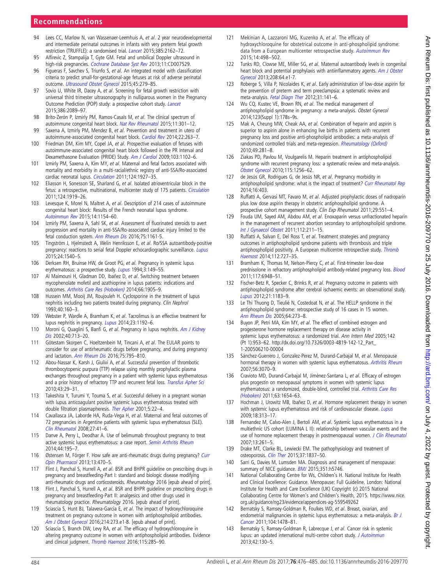# <span id="page-8-0"></span>**Recommendations**

- 94 Lees CC, Marlow N, van Wassenaer-Leemhuis A, et al. 2 year neurodevelopmental and intermediate perinatal outcomes in infants with very preterm fetal growth restriction (TRUFFLE): a randomised trial. [Lancet](http://dx.doi.org/10.1016/S0140-6736(14)62049-3) 2015;385:2162–72.
- 95 Alfirevic Z, Stampalija T, Gyte GM. Fetal and umbilical Doppler ultrasound in high-risk pregnancies. [Cochrane Database Syst Rev](http://dx.doi.org/10.1002/14651858.CD007529.pub3) 2013;11:CD007529.
- 96 Figueras F, Savchev S, Triunfo S, et al. An integrated model with classification criteria to predict small-for-gestational-age fetuses at risk of adverse perinatal outcome. [Ultrasound Obstet Gynecol](http://dx.doi.org/10.1002/uog.14714) 2015;45:279–85.
- 97 Sovio U, White IR, Dacey A, et al. Screening for fetal growth restriction with universal third trimester ultrasonography in nulliparous women in the Pregnancy Outcome Prediction (POP) study: a prospective cohort study. [Lancet](http://dx.doi.org/10.1016/S0140-6736(15)00131-2) 2015;386:2089–97.
- 98 Brito-Zerón P, Izmirly PM, Ramos-Casals M, et al. The clinical spectrum of autoimmune congenital heart block. [Nat Rev Rheumatol](http://dx.doi.org/10.1038/nrrheum.2015.29) 2015;11:301-12.
- 99 Saxena A, Izmirly PM, Mendez B, et al. Prevention and treatment in utero of autoimmune-associated congenital heart block. [Cardiol Rev](http://dx.doi.org/10.1097/CRD.0000000000000026) 2014;22:263-7.
- 100 Friedman DM, Kim MY, Copel JA, et al. Prospective evaluation of fetuses with autoimmune-associated congenital heart block followed in the PR Interval and Dexamethasone Evaluation (PRIDE) Study. [Am J Cardiol](http://dx.doi.org/10.1016/j.amjcard.2008.12.027) 2009;103:1102-6.
- 101 Izmirly PM, Saxena A, Kim MY, et al. Maternal and fetal factors associated with mortality and morbidity in a multi-racial/ethnic registry of anti-SSA/Ro-associated cardiac neonatal lupus. [Circulation](http://dx.doi.org/10.1161/CIRCULATIONAHA.111.033894) 2011;124:1927–35.
- 102 Eliasson H, Sonesson SE, Sharland G, et al. Isolated atrioventricular block in the fetus: a retrospective, multinational, multicenter study of 175 patients. [Circulation](http://dx.doi.org/10.1161/CIRCULATIONAHA.111.041970) 2011;124:1919–26.
- 103 Levesque K, Morel N, Maltret A, et al. Description of 214 cases of autoimmune congenital heart block: Results of the French neonatal lupus syndrome. [Autoimmun Rev](http://dx.doi.org/10.1016/j.autrev.2015.08.005) 2015;14:1154–60.
- 104 Izmirly PM, Saxena A, Sahl SK, et al. Assessment of fluorinated steroids to avert progression and mortality in anti-SSA/Ro-associated cardiac injury limited to the fetal conduction system. [Ann Rheum Dis](http://dx.doi.org/10.1136/annrheumdis-2015-208311) 2016;75:1161-5.
- 105 Tingström J, Hjelmstedt A, Welin Henriksson E, et al. Ro/SSA autoantibody-positive pregnancy: reactions to serial fetal Doppler echocardiographic surveillance. [Lupus](http://dx.doi.org/10.1177/0961203315593171) 2015;24:1540–5.
- 106 Derksen RH, Bruinse HW, de Groot PG, et al. Pregnancy in systemic lupus erythematosus: a prospective study. [Lupus](http://dx.doi.org/10.1177/096120339400300304) 1994;3:149-55.
- 107 Al Maimouni H, Gladman DD, Ibañez D, et al. Switching treatment between mycophenolate mofetil and azathioprine in lupus patients: indications and outcomes. [Arthritis Care Res \(Hoboken\)](http://dx.doi.org/10.1002/acr.22364) 2014;66:1905–9.
- 108 Hussein MM, Mooij JM, Roujouleh H. Cyclosporine in the treatment of lupus nephritis including two patients treated during pregnancy. Clin Nephrol 1993;40:160–3.
- 109 Webster P, Wardle A, Bramham K, et al. Tacrolimus is an effective treatment for lupus nephritis in pregnancy. [Lupus](http://dx.doi.org/10.1177/0961203314540353) 2014;23:1192-6.
- 110 Moroni G, Quaglini S, Banfi G, et al. Pregnancy in lupus nephritis. [Am J Kidney](http://dx.doi.org/10.1053/ajkd.2002.35678) [Dis](http://dx.doi.org/10.1053/ajkd.2002.35678) 2002;40:713–20.
- 111 Götestam Skorpen C, Hoeltzenbein M, Tincani A, et al. The EULAR points to consider for use of antirheumatic drugs before pregnancy, and during pregnancy and lactation. [Ann Rheum Dis](http://dx.doi.org/10.1136/annrheumdis-2015-208840) 2016;75:795–810.
- 112 Abou-Nassar K, Karsh J, Giulivi A, et al. Successful prevention of thrombotic thrombocytopenic purpura (TTP) relapse using monthly prophylactic plasma exchanges throughout pregnancy in a patient with systemic lupus erythematosus and a prior history of refractory TTP and recurrent fetal loss. [Transfus Apher Sci](http://dx.doi.org/10.1016/j.transci.2010.05.002) 2010;43:29–31.
- 113 Takeshita Y, Turumi Y, Touma S, et al. Successful delivery in a pregnant woman with lupus anticoagulant positive systemic lupus erythematosus treated with double filtration plasmapheresis. [Ther Apher](http://dx.doi.org/10.1046/j.1526-0968.2001.005001022.x) 2001;5:22–4.
- 114 Cavallasca JA, Laborde HA, Ruda-Vega H, et al. Maternal and fetal outcomes of 72 pregnancies in Argentine patients with systemic lupus erythematosus (SLE). [Clin Rheumatol](http://dx.doi.org/10.1007/s10067-007-0649-3) 2008;27:41–6.
- 115 Danve A, Perry L, Deodhar A. Use of belimumab throughout pregnancy to treat active systemic lupus erythematosus: a case report. [Semin Arthritis Rheum](http://dx.doi.org/10.1016/j.semarthrit.2014.05.006) 2014;44:195–7.
- 116 Østensen M, Förger F. How safe are anti-rheumatic drugs during pregnancy? [Curr](http://dx.doi.org/10.1016/j.coph.2013.03.004) [Opin Pharmacol](http://dx.doi.org/10.1016/j.coph.2013.03.004) 2013;13:470–5.
- 117 Flint J, Panchal S, Hurrell A, et al. BSR and BHPR guideline on prescribing drugs in pregnancy and breastfeeding-Part I: standard and biologic disease modifying anti-rheumatic drugs and corticosteroids. Rheumatology 2016 [epub ahead of print].
- 118 Flint J, Panchal S, Hurrell A, et al. BSR and BHPR guideline on prescribing drugs in pregnancy and breastfeeding-Part II: analgesics and other drugs used in rheumatology practice. Rheumatology 2016. [epub ahead of print].
- 119 Sciascia S, Hunt BJ, Talavera-Garcia E, et al. The impact of hydroxychloroquine treatment on pregnancy outcome in women with antiphospholipid antibodies. [Am J Obstet Gynecol](http://dx.doi.org/10.1016/j.ajog.2015.09.078) 2016;214:273.e1-8. [epub ahead of print].
- 120 Sciascia S, Branch DW, Levy RA, et al. The efficacy of hydroxychloroquine in altering pregnancy outcome in women with antiphospholipid antibodies. Evidence and clinical judgment. [Thromb Haemost](http://dx.doi.org/10.1160/TH15-06-0491) 2016;115:285-90.
- 121 Mekinian A, Lazzaroni MG, Kuzenko A, et al. The efficacy of hydroxychloroquine for obstetrical outcome in anti-phospholipid syndrome: data from a European multicenter retrospective study. [Autoimmun Rev](http://dx.doi.org/10.1016/j.autrev.2015.01.012) 2015;14:498–502.
- Tunks RD, Clowse ME, Miller SG, et al. Maternal autoantibody levels in congenital heart block and potential prophylaxis with antiinflammatory agents. [Am J Obstet](http://dx.doi.org/10.1016/j.ajog.2012.09.020) [Gynecol](http://dx.doi.org/10.1016/j.ajog.2012.09.020) 2013;208:64.e1-7.
- 123 Roberge S, Villa P, Nicolaides K, et al. Early administration of low-dose aspirin for the prevention of preterm and term preeclampsia: a systematic review and meta-analysis. [Fetal Diagn Ther](http://dx.doi.org/10.1159/000336662) 2012;31:141–6.
- 124 Wu CQ, Kustec VE, Brown RN, et al. The medical management of antiphospholipid syndrome in pregnancy: a meta-analysis. Obstet Gynecol 2014;123(Suppl 1):178s–9s.
- 125 Mak A, Cheung MW, Cheak AA, et al. Combination of heparin and aspirin is superior to aspirin alone in enhancing live births in patients with recurrent pregnancy loss and positive anti-phospholipid antibodies: a meta-analysis of randomized controlled trials and meta-regression. [Rheumatology \(Oxford\)](http://dx.doi.org/10.1093/rheumatology/kep373) 2010;49:281–8.
- 126 Ziakas PD, Pavlou M, Voulgarelis M. Heparin treatment in antiphospholipid syndrome with recurrent pregnancy loss: a systematic review and meta-analysis. [Obstet Gynecol](http://dx.doi.org/10.1097/AOG.0b013e3181deba40) 2010;115:1256–62.
- 127 de Jesús GR, Rodrigues G, de Jesús NR, et al. Pregnancy morbidity in antiphospholipid syndrome: what is the impact of treatment? [Curr Rheumatol Rep](http://dx.doi.org/10.1007/s11926-013-0403-6) 2014;16:403.
- 128 Ruffatti A, Gervasi MT, Favaro M, et al. Adjusted prophylactic doses of nadroparin plus low dose aspirin therapy in obstetric antiphospholipid syndrome. A prospective cohort management study. Clin Exp Rheumatol 2011;29:551-4.
- 129 Fouda UM, Sayed AM, Abdou AM, et al. Enoxaparin versus unfractionated heparin in the management of recurrent abortion secondary to antiphospholipid syndrome. [Int J Gynaecol Obstet](http://dx.doi.org/10.1016/j.ijgo.2010.09.010) 2011;112:211–15.
- 130 Ruffatti A, Salvan E, Del Ross T, et al. Treatment strategies and pregnancy outcomes in antiphospholipid syndrome patients with thrombosis and triple antiphospholipid positivity. A European multicentre retrospective study. [Thromb](http://dx.doi.org/10.1160/TH14-03-0191) [Haemost](http://dx.doi.org/10.1160/TH14-03-0191) 2014;112:727–35.
- 131 Bramham K, Thomas M, Nelson-Piercy C, et al. First-trimester low-dose prednisolone in refractory antiphospholipid antibody-related pregnancy loss. [Blood](http://dx.doi.org/10.1182/blood-2011-02-339234) 2011;117:6948–51.
- 132 Fischer-Betz R, Specker C, Brinks R, et al. Pregnancy outcome in patients with antiphospholipid syndrome after cerebral ischaemic events: an observational study. [Lupus](http://dx.doi.org/10.1177/0961203312451335) 2012;21:1183–9.
- 133 Le Thi Thuong D, Tieulié N, Costedoat N, et al. The HELLP syndrome in the antiphospholipid syndrome: retrospective study of 16 cases in 15 women. [Ann Rheum Dis](http://dx.doi.org/10.1136/ard.2003.019000) 2005;64:273–8.
- 134 Buyon JP, Petri MA, Kim MY, et al. The effect of combined estrogen and progesterone hormone replacement therapy on disease activity in systemic lupus erythematosus: a randomized trial. Ann Intern Med 2005;142 (Pt 1):953–62. [http://dx.doi.org/10.7326/0003-4819-142-12\\_Part\\_](http://dx.doi.org/10.7326/0003-4819-142-12_Part_1-200506210-00004) [1-200506210-00004](http://dx.doi.org/10.7326/0003-4819-142-12_Part_1-200506210-00004)
- 135 Sánchez-Guerrero J, Gonzalez-Perez M, Durand-Carbajal M, et al. Menopause hormonal therapy in women with systemic lupus erythematosus. [Arthritis Rheum](http://dx.doi.org/10.1002/art.22855) 2007;56:3070–9.
- 136 Cravioto MD, Durand-Carbajal M, Jiménez-Santana L, et al. Efficacy of estrogen plus progestin on menopausal symptoms in women with systemic lupus erythematosus: a randomized, double-blind, controlled trial. [Arthritis Care Res](http://dx.doi.org/10.1002/acr.20608) [\(Hoboken\)](http://dx.doi.org/10.1002/acr.20608) 2011;63:1654–63.
- 137 Hochman J, Urowitz MB, Ibañez D, et al. Hormone replacement therapy in women with systemic lupus erythematosus and risk of cardiovascular disease. [Lupus](http://dx.doi.org/10.1177/0961203308097475) 2009;18:313–17.
- 138 Fernandez M, Calvo-Alen J, Bertoli AM, et al. Systemic lupus erythematosus in a multiethnic US cohort (LUMINA L II): relationship between vascular events and the use of hormone replacement therapy in postmenopausal women. [J Clin Rheumatol](http://dx.doi.org/10.1097/RHU.0b013e318156bbf5) 2007;13:261–5.
- 139 Drake MT, Clarke BL, Lewiecki EM. The pathophysiology and treatment of osteoporosis. [Clin Ther](http://dx.doi.org/10.1016/j.clinthera.2015.06.006) 2015;37:1837-50.
- 140 Sarri G, Davies M, Lumsden MA. Diagnosis and management of menopause: summary of NICE guidance. **[BMJ](http://dx.doi.org/10.1136/bmj.h5746)** 2015;351:h5746.
- 141 National Collaborating Centre for Ws, Children's H. National Institute for Health and Clinical Excellence: Guidance. Menopause: Full Guideline. London: National Institute for Health and Care Excellence (UK) Copyright (c) 2015 National Collaborating Centre for Women's and Children's Health, 2015. [https://www.nice.](https://www.nice.org.uk/guidance/ng23/evidence/appendices-ag-559549262) [org.uk/guidance/ng23/evidence/appendices-ag-559549262](https://www.nice.org.uk/guidance/ng23/evidence/appendices-ag-559549262)
- 142 Bernatsky S, Ramsey-Goldman R, Foulkes WD, et al. Breast, ovarian, and endometrial malignancies in systemic lupus erythematosus: a meta-analysis. [Br J](http://dx.doi.org/10.1038/bjc.2011.115) [Cancer](http://dx.doi.org/10.1038/bjc.2011.115) 2011;104:1478–81.
- 143 Bernatsky S, Ramsey-Goldman R, Labrecque J, et al. Cancer risk in systemic lupus: an updated international multi-centre cohort study. [J Autoimmun](http://dx.doi.org/10.1016/j.jaut.2012.12.009) 2013;42:130–5.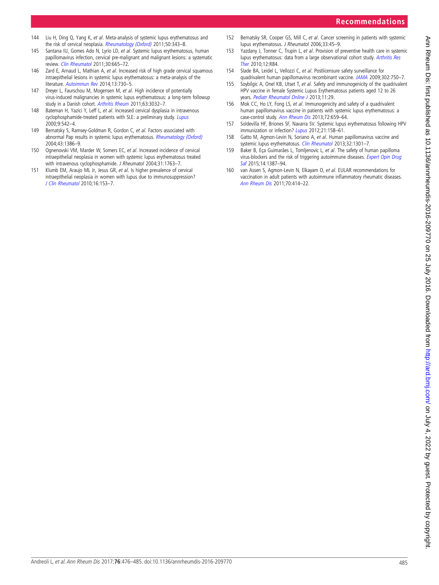**Recommendations**

- <span id="page-9-0"></span>144 Liu H, Ding Q, Yang K, et al. Meta-analysis of systemic lupus erythematosus and the risk of cervical neoplasia. [Rheumatology \(Oxford\)](http://dx.doi.org/10.1093/rheumatology/keq304) 2011;50:343-8.
- 145 Santana IU, Gomes Ado N, Lyrio LD, et al. Systemic lupus erythematosus, human papillomavirus infection, cervical pre-malignant and malignant lesions: a systematic review. [Clin Rheumatol](http://dx.doi.org/10.1007/s10067-010-1606-0) 2011;30:665–72.
- 146 Zard E, Arnaud L, Mathian A, et al. Increased risk of high grade cervical squamous intraepithelial lesions in systemic lupus erythematosus: a meta-analysis of the literature. [Autoimmun Rev](http://dx.doi.org/10.1016/j.autrev.2014.03.001) 2014;13:730-5.
- 147 Dreyer L, Faurschou M, Mogensen M, et al. High incidence of potentially virus-induced malignancies in systemic lupus erythematosus: a long-term followup study in a Danish cohort. [Arthritis Rheum](http://dx.doi.org/10.1002/art.30483) 2011;63:3032–7.
- 148 Bateman H, Yazici Y, Leff L, et al. Increased cervical dysplasia in intravenous cyclophosphamide-treated patients with SLE: a preliminary study. [Lupus](http://dx.doi.org/10.1177/096120330000900711) 2000;9:542–4.
- 149 Bernatsky S, Ramsey-Goldman R, Gordon C, et al. Factors associated with abnormal Pap results in systemic lupus erythematosus. [Rheumatology \(Oxford\)](http://dx.doi.org/10.1093/rheumatology/keh331) 2004;43:1386–9.
- 150 Ognenovski VM, Marder W, Somers EC, et al. Increased incidence of cervical intraepithelial neoplasia in women with systemic lupus erythematosus treated with intravenous cyclophosphamide. J Rheumatol 2004;31:1763–7.
- 151 Klumb EM, Araujo ML Jr, Jesus GR, et al. Is higher prevalence of cervical intraepithelial neoplasia in women with lupus due to immunosuppression? [J Clin Rheumatol](http://dx.doi.org/10.1097/RHU.0b013e3181df5261) 2010;16:153–7.
- 152 Bernatsky SR, Cooper GS, Mill C, et al. Cancer screening in patients with systemic lupus erythematosus. J Rheumatol 2006;33:45–9.
- 153 Yazdany J, Tonner C, Trupin L, et al. Provision of preventive health care in systemic lupus erythematosus: data from a large observational cohort study. [Arthritis Res](http://dx.doi.org/10.1186/ar3011) [Ther](http://dx.doi.org/10.1186/ar3011) 2010;12:R84.
- 154 Slade BA, Leidel L, Vellozzi C, et al. Postlicensure safety surveillance for quadrivalent human papillomavirus recombinant vaccine. [JAMA](http://dx.doi.org/10.1001/jama.2009.1201) 2009;302:750-7.
- 155 Soybilgic A, Onel KB, Utset T, et al. Safety and immunogenicity of the quadrivalent HPV vaccine in female Systemic Lupus Erythematosus patients aged 12 to 26 years. [Pediatr Rheumatol Online J](http://dx.doi.org/10.1186/1546-0096-11-29) 2013;11:29.
- 156 Mok CC, Ho LY, Fong LS, et al. Immunogenicity and safety of a quadrivalent human papillomavirus vaccine in patients with systemic lupus erythematosus: a case-control study. [Ann Rheum Dis](http://dx.doi.org/10.1136/annrheumdis-2012-201393) 2013;72:659–64.
- 157 Soldevilla HF, Briones SF, Navarra SV. Systemic lupus erythematosus following HPV immunization or infection? [Lupus](http://dx.doi.org/10.1177/0961203311429556) 2012;21:158-61.
- 158 Gatto M, Agmon-Levin N, Soriano A, et al. Human papillomavirus vaccine and systemic lupus erythematosus. [Clin Rheumatol](http://dx.doi.org/10.1007/s10067-013-2266-7) 2013;32:1301-7.
- 159 Baker B, Eça Guimarães L, Tomljenovic L, et al. The safety of human papilloma virus-blockers and the risk of triggering autoimmune diseases. [Expert Opin Drug](http://dx.doi.org/10.1517/14740338.2015.1073710) [Saf](http://dx.doi.org/10.1517/14740338.2015.1073710) 2015;14:1387–94.
- 160 van Assen S, Agmon-Levin N, Elkayam O, et al. EULAR recommendations for vaccination in adult patients with autoimmune inflammatory rheumatic diseases. [Ann Rheum Dis](http://dx.doi.org/10.1136/ard.2010.137216) 2011;70:414–22.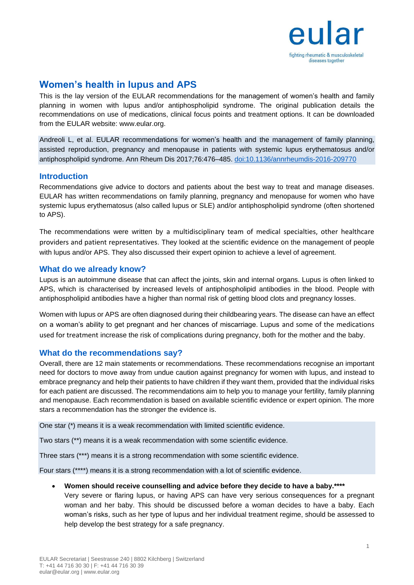

# **Women's health in lupus and APS**

This is the lay version of the EULAR recommendations for the management of women's health and family planning in women with lupus and/or antiphospholipid syndrome. The original publication details the recommendations on use of medications, clinical focus points and treatment options. It can be downloaded from the EULAR website: www.eular.org.

Andreoli L, et al. EULAR recommendations for women's health and the management of family planning, assisted reproduction, pregnancy and menopause in patients with systemic lupus erythematosus and/or antiphospholipid syndrome. Ann Rheum Dis 2017;76:476–485. doi:10.1136/annrheumdis-2016-209770

# **Introduction**

Recommendations give advice to doctors and patients about the best way to treat and manage diseases. EULAR has written recommendations on family planning, pregnancy and menopause for women who have systemic lupus erythematosus (also called lupus or SLE) and/or antiphospholipid syndrome (often shortened to APS).

The recommendations were written by a multidisciplinary team of medical specialties, other healthcare providers and patient representatives. They looked at the scientific evidence on the management of people with lupus and/or APS. They also discussed their expert opinion to achieve a level of agreement.

# **What do we already know?**

Lupus is an autoimmune disease that can affect the joints, skin and internal organs. Lupus is often linked to APS, which is characterised by increased levels of antiphospholipid antibodies in the blood. People with antiphospholipid antibodies have a higher than normal risk of getting blood clots and pregnancy losses.

Women with lupus or APS are often diagnosed during their childbearing years. The disease can have an effect on a woman's ability to get pregnant and her chances of miscarriage. Lupus and some of the medications used for treatment increase the risk of complications during pregnancy, both for the mother and the baby.

# **What do the recommendations say?**

Overall, there are 12 main statements or recommendations. These recommendations recognise an important need for doctors to move away from undue caution against pregnancy for women with lupus, and instead to embrace pregnancy and help their patients to have children if they want them, provided that the individual risks for each patient are discussed. The recommendations aim to help you to manage your fertility, family planning and menopause. Each recommendation is based on available scientific evidence or expert opinion. The more stars a recommendation has the stronger the evidence is.

One star (\*) means it is a weak recommendation with limited scientific evidence.

Two stars (\*\*) means it is a weak recommendation with some scientific evidence.

Three stars (\*\*\*) means it is a strong recommendation with some scientific evidence.

Four stars (\*\*\*\*) means it is a strong recommendation with a lot of scientific evidence.

- **Women should receive counselling and advice before they decide to have a baby.\*\*\*\***
	- Very severe or flaring lupus, or having APS can have very serious consequences for a pregnant woman and her baby. This should be discussed before a woman decides to have a baby. Each woman's risks, such as her type of lupus and her individual treatment regime, should be assessed to help develop the best strategy for a safe pregnancy.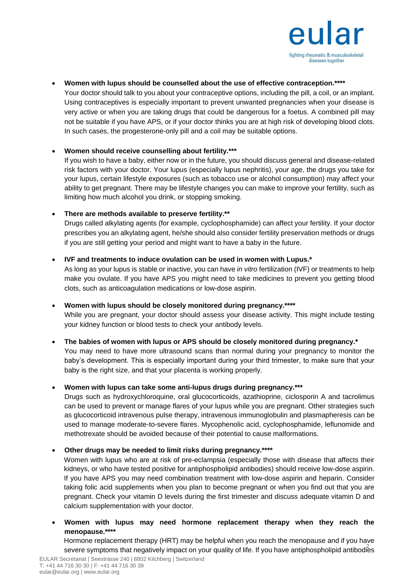

### **Women with lupus should be counselled about the use of effective contraception.\*\*\*\***

Your doctor should talk to you about your contraceptive options, including the pill, a coil, or an implant. Using contraceptives is especially important to prevent unwanted pregnancies when your disease is very active or when you are taking drugs that could be dangerous for a foetus. A combined pill may not be suitable if you have APS, or if your doctor thinks you are at high risk of developing blood clots. In such cases, the progesterone-only pill and a coil may be suitable options.

# **Women should receive counselling about fertility.\*\*\***

If you wish to have a baby, either now or in the future, you should discuss general and disease-related risk factors with your doctor. Your lupus (especially lupus nephritis), your age, the drugs you take for your lupus, certain lifestyle exposures (such as tobacco use or alcohol consumption) may affect your ability to get pregnant. There may be lifestyle changes you can make to improve your fertility, such as limiting how much alcohol you drink, or stopping smoking.

# **There are methods available to preserve fertility.\*\***

Drugs called alkylating agents (for example, cyclophosphamide) can affect your fertility. If your doctor prescribes you an alkylating agent, he/she should also consider fertility preservation methods or drugs if you are still getting your period and might want to have a baby in the future.

# **IVF and treatments to induce ovulation can be used in women with Lupus.\***

As long as your lupus is stable or inactive, you can have *in vitro* fertilization (IVF) or treatments to help make you ovulate. If you have APS you might need to take medicines to prevent you getting blood clots, such as anticoagulation medications or low-dose aspirin.

# **Women with lupus should be closely monitored during pregnancy.\*\*\*\***

While you are pregnant, your doctor should assess your disease activity. This might include testing your kidney function or blood tests to check your antibody levels.

### **The babies of women with lupus or APS should be closely monitored during pregnancy.\***

You may need to have more ultrasound scans than normal during your pregnancy to monitor the baby's development. This is especially important during your third trimester, to make sure that your baby is the right size, and that your placenta is working properly.

# **Women with lupus can take some anti-lupus drugs during pregnancy.\*\*\***

Drugs such as hydroxychloroquine, oral glucocorticoids, azathioprine, ciclosporin A and tacrolimus can be used to prevent or manage flares of your lupus while you are pregnant. Other strategies such as glucocorticoid intravenous pulse therapy, intravenous immunoglobulin and plasmapheresis can be used to manage moderate-to-severe flares. Mycophenolic acid, cyclophosphamide, leflunomide and methotrexate should be avoided because of their potential to cause malformations.

### **Other drugs may be needed to limit risks during pregnancy.\*\*\*\***

Women with lupus who are at risk of pre-eclampsia (especially those with disease that affects their kidneys, or who have tested positive for antiphospholipid antibodies) should receive low-dose aspirin. If you have APS you may need combination treatment with low-dose aspirin and heparin. Consider taking folic acid supplements when you plan to become pregnant or when you find out that you are pregnant. Check your vitamin D levels during the first trimester and discuss adequate vitamin D and calcium supplementation with your doctor.

# **Women with lupus may need hormone replacement therapy when they reach the menopause.\*\*\*\***

severe symptoms that negatively impact on your quality of life. If you have antiphospholipid antibodies Hormone replacement therapy (HRT) may be helpful when you reach the menopause and if you have